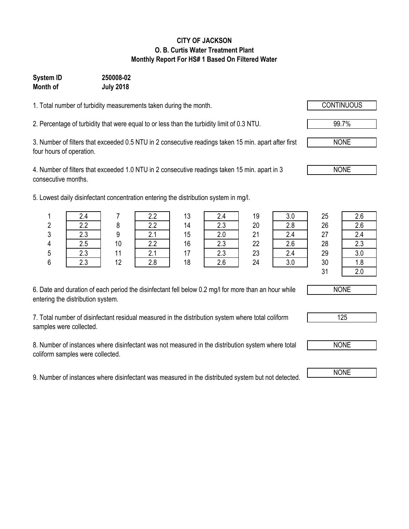#### **CITY OF JACKSON O. B. Curtis Water Treatment Plant Monthly Report For HS# 1 Based On Filtered Water**

# **System ID 250008-02 Month of July 2018**

1. Total number of turbidity measurements taken during the month.

2. Percentage of turbidity that were equal to or less than the turbidity limit of 0.3 NTU.

3. Number of filters that exceeded 0.5 NTU in 2 consecutive readings taken 15 min. apart after first four hours of operation.

4. Number of filters that exceeded 1.0 NTU in 2 consecutive readings taken 15 min. apart in 3 consecutive months.

5. Lowest daily disinfectant concentration entering the distribution system in mg/l.

|   |            |    | っっ                   | 13 |               | 19 | 3.0 | 25            | 2.6           |
|---|------------|----|----------------------|----|---------------|----|-----|---------------|---------------|
| 2 | າາ         |    | 22                   | 14 | っっ<br>ں.ے     | 20 | 2.8 | 26            | 2.6           |
| 2 | 2.3        |    | $^{\circ}$           | 15 |               | 21 |     | 27            | 2.4           |
|   | ۵.S        | 10 | 2.2                  | 16 | $\cap$<br>د.∠ | 22 | 2.6 | 28            | 2.3           |
| 5 | ົດລ<br>د.∠ |    | $^{\circ}$<br>. Z. . | 17 | 2.3           | 23 | 2.4 | 29            | 3.0           |
| 6 | っっ         | 12 | 2.8                  | 18 | 2.6           | 24 | 3.0 | 30            | 1.8           |
|   |            |    |                      |    |               |    |     | $\sim$ $\sim$ | $\sim$ $\sim$ |

| 3.0 |
|-----|
| 2.8 |
| 2.4 |
| 2.6 |
| 2.4 |
| 3.0 |
|     |

31 2.0

6. Date and duration of each period the disinfectant fell below 0.2 mg/l for more than an hour while entering the distribution system.

7. Total number of disinfectant residual measured in the distribution system where total coliform samples were collected.

8. Number of instances where disinfectant was not measured in the distribution system where total coliform samples were collected.

9. Number of instances where disinfectant was measured in the distributed system but not detected. NONE



NONE

125



99.7%

NONE

NONE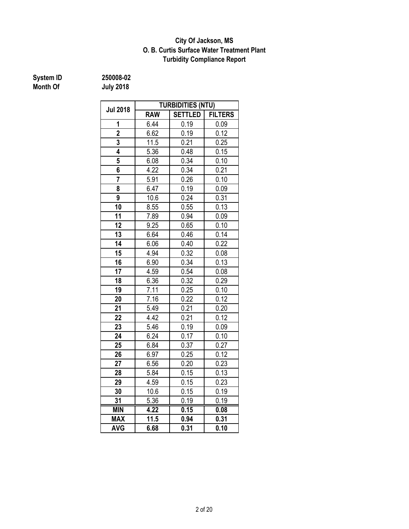### **O. B. Curtis Surface Water Treatment Plant City Of Jackson, MS Turbidity Compliance Report**

# **System ID** 250008-02<br> **Month Of** July 2018

|                         | <b>TURBIDITIES (NTU)</b> |                |                |  |  |  |  |
|-------------------------|--------------------------|----------------|----------------|--|--|--|--|
| <b>Jul 2018</b>         | <b>RAW</b>               | <b>SETTLED</b> | <b>FILTERS</b> |  |  |  |  |
| 1                       | 6.44                     | 0.19           | 0.09           |  |  |  |  |
| $\overline{2}$          | 6.62                     | 0.19           | 0.12           |  |  |  |  |
| $\overline{\mathbf{3}}$ | 11.5                     | 0.21           | 0.25           |  |  |  |  |
| 4                       | 5.36                     | 0.48           | 0.15           |  |  |  |  |
| 5                       | 6.08                     | 0.34           | 0.10           |  |  |  |  |
| 6                       | 4.22                     | 0.34           | 0.21           |  |  |  |  |
| $\overline{7}$          | 5.91                     | 0.26           | 0.10           |  |  |  |  |
| 8                       | 6.47                     | 0.19           | 0.09           |  |  |  |  |
| 9                       | 10.6                     | 0.24           | 0.31           |  |  |  |  |
| 10                      | 8.55                     | 0.55           | 0.13           |  |  |  |  |
| 11                      | 7.89                     | 0.94           | 0.09           |  |  |  |  |
| 12                      | 9.25                     | 0.65           | 0.10           |  |  |  |  |
| 13                      | 6.64                     | 0.46           | 0.14           |  |  |  |  |
| 14                      | 6.06                     | 0.40           | 0.22           |  |  |  |  |
| 15                      | 4.94                     | 0.32           | 0.08           |  |  |  |  |
| 16                      | 6.90                     | 0.34           | 0.13           |  |  |  |  |
| 17                      | 4.59                     | 0.54           | 0.08           |  |  |  |  |
| 18                      | 6.36                     | 0.32           | 0.29           |  |  |  |  |
| 19                      | 7.11                     | 0.25           | 0.10           |  |  |  |  |
| 20                      | 7.16                     | 0.22           | 0.12           |  |  |  |  |
| 21                      | 5.49                     | 0.21           | 0.20           |  |  |  |  |
| 22                      | 4.42                     | 0.21           | 0.12           |  |  |  |  |
| 23                      | 5.46                     | 0.19           | 0.09           |  |  |  |  |
| 24                      | 6.24                     | 0.17           | 0.10           |  |  |  |  |
| 25                      | 6.84                     | 0.37           | 0.27           |  |  |  |  |
| 26                      | 6.97                     | 0.25           | 0.12           |  |  |  |  |
| 27                      | 6.56                     | 0.20           | 0.23           |  |  |  |  |
| 28                      | 5.84                     | 0.15           | 0.13           |  |  |  |  |
| 29                      | 4.59                     | 0.15           | 0.23           |  |  |  |  |
| 30                      | 10.6                     | 0.15           | 0.19           |  |  |  |  |
| 31                      | 5.36                     | 0.19           | 0.19           |  |  |  |  |
| <b>MIN</b>              | 4.22                     | 0.15           | 0.08           |  |  |  |  |
| <b>MAX</b>              | 11.5                     | 0.94           | 0.31           |  |  |  |  |
| <b>AVG</b>              | 6.68                     | 0.31           | 0.10           |  |  |  |  |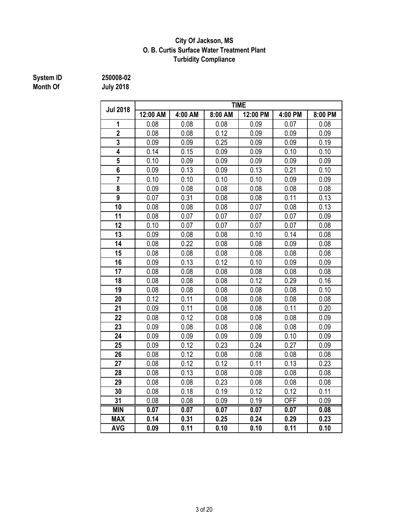### **City Of Jackson, MS O. B. Curtis Surface Water Treatment Plant Turbidity Compliance**

# **System ID 250008-02**

|                         | <b>TIME</b> |         |         |          |            |         |  |  |  |  |  |
|-------------------------|-------------|---------|---------|----------|------------|---------|--|--|--|--|--|
| <b>Jul 2018</b>         | 12:00 AM    | 4:00 AM | 8:00 AM | 12:00 PM | 4:00 PM    | 8:00 PM |  |  |  |  |  |
| 1                       | 0.08        | 0.08    | 0.08    | 0.09     | 0.07       | 0.08    |  |  |  |  |  |
| $\overline{2}$          | 0.08        | 0.08    | 0.12    | 0.09     | 0.09       | 0.09    |  |  |  |  |  |
| 3                       | 0.09        | 0.09    | 0.25    | 0.09     | 0.09       | 0.19    |  |  |  |  |  |
| 4                       | 0.14        | 0.15    | 0.09    | 0.09     | 0.10       | 0.10    |  |  |  |  |  |
| 5                       | 0.10        | 0.09    | 0.09    | 0.09     | 0.09       | 0.09    |  |  |  |  |  |
| $\overline{\mathbf{6}}$ | 0.09        | 0.13    | 0.09    | 0.13     | 0.21       | 0.10    |  |  |  |  |  |
| $\overline{7}$          | 0.10        | 0.10    | 0.10    | 0.10     | 0.09       | 0.09    |  |  |  |  |  |
| 8                       | 0.09        | 0.08    | 0.08    | 0.08     | 0.08       | 0.08    |  |  |  |  |  |
| $\overline{9}$          | 0.07        | 0.31    | 0.08    | 0.08     | 0.11       | 0.13    |  |  |  |  |  |
| 10                      | 0.08        | 0.08    | 0.08    | 0.07     | 0.08       | 0.13    |  |  |  |  |  |
| 11                      | 0.08        | 0.07    | 0.07    | 0.07     | 0.07       | 0.09    |  |  |  |  |  |
| 12                      | 0.10        | 0.07    | 0.07    | 0.07     | 0.07       | 0.08    |  |  |  |  |  |
| 13                      | 0.09        | 0.08    | 0.08    | 0.10     | 0.14       | 0.08    |  |  |  |  |  |
| 14                      | 0.08        | 0.22    | 0.08    | 0.08     | 0.09       | 0.08    |  |  |  |  |  |
| 15                      | 0.08        | 0.08    | 0.08    | 0.08     | 0.08       | 0.08    |  |  |  |  |  |
| 16                      | 0.09        | 0.13    | 0.12    | 0.10     | 0.09       | 0.09    |  |  |  |  |  |
| 17                      | 0.08        | 0.08    | 0.08    | 0.08     | 0.08       | 0.08    |  |  |  |  |  |
| 18                      | 0.08        | 0.08    | 0.08    | 0.12     | 0.29       | 0.16    |  |  |  |  |  |
| 19                      | 0.08        | 0.08    | 0.08    | 0.08     | 0.08       | 0.10    |  |  |  |  |  |
| 20                      | 0.12        | 0.11    | 0.08    | 0.08     | 0.08       | 0.08    |  |  |  |  |  |
| 21                      | 0.09        | 0.11    | 0.08    | 0.08     | 0.11       | 0.20    |  |  |  |  |  |
| 22                      | 0.08        | 0.12    | 0.08    | 0.08     | 0.08       | 0.09    |  |  |  |  |  |
| 23                      | 0.09        | 0.08    | 0.08    | 0.08     | 0.08       | 0.09    |  |  |  |  |  |
| 24                      | 0.09        | 0.09    | 0.09    | 0.09     | 0.10       | 0.09    |  |  |  |  |  |
| 25                      | 0.09        | 0.12    | 0.23    | 0.24     | 0.27       | 0.09    |  |  |  |  |  |
| 26                      | 0.08        | 0.12    | 0.08    | 0.08     | 0.08       | 0.08    |  |  |  |  |  |
| 27                      | 0.08        | 0.12    | 0.12    | 0.11     | 0.13       | 0.23    |  |  |  |  |  |
| 28                      | 0.08        | 0.13    | 0.08    | 0.08     | 0.08       | 0.08    |  |  |  |  |  |
| 29                      | 0.08        | 0.08    | 0.23    | 0.08     | 0.08       | 0.08    |  |  |  |  |  |
| 30                      | 0.08        | 0.18    | 0.19    | 0.12     | 0.12       | 0.11    |  |  |  |  |  |
| 31                      | 0.08        | 0.08    | 0.09    | 0.19     | <b>OFF</b> | 0.09    |  |  |  |  |  |
| <b>MIN</b>              | 0.07        | 0.07    | 0.07    | 0.07     | 0.07       | 0.08    |  |  |  |  |  |
| <b>MAX</b>              | 0.14        | 0.31    | 0.25    | 0.24     | 0.29       | 0.23    |  |  |  |  |  |
| <b>AVG</b>              | 0.09        | 0.11    | 0.10    | 0.10     | 0.11       | 0.10    |  |  |  |  |  |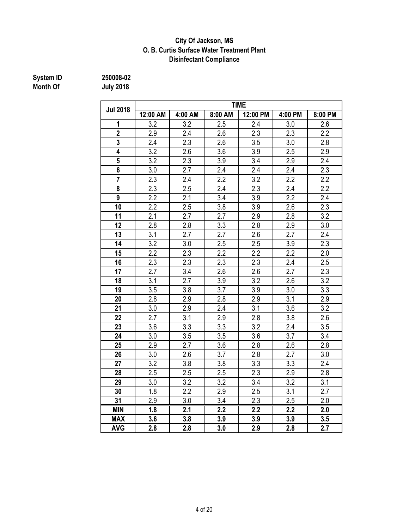### **Disinfectant Compliance City Of Jackson, MS O. B. Curtis Surface Water Treatment Plant**

# **System ID 250008-02**

|                 | <b>TIME</b>      |         |                  |                  |                  |                  |  |  |  |  |
|-----------------|------------------|---------|------------------|------------------|------------------|------------------|--|--|--|--|
| <b>Jul 2018</b> | 12:00 AM         | 4:00 AM | 8:00 AM          | 12:00 PM         | 4:00 PM          | 8:00 PM          |  |  |  |  |
| 1               | 3.2              | 3.2     | 2.5              | 2.4              | 3.0              | 2.6              |  |  |  |  |
| $\overline{2}$  | $\overline{2.9}$ | 2.4     | $\overline{2.6}$ | 2.3              | 2.3              | $\overline{2.2}$ |  |  |  |  |
| 3               | 2.4              | 2.3     | 2.6              | 3.5              | 3.0              | 2.8              |  |  |  |  |
| 4               | 3.2              | 2.6     | 3.6              | 3.9              | 2.5              | $2.9\,$          |  |  |  |  |
| 5               | 3.2              | 2.3     | 3.9              | 3.4              | 2.9              | 2.4              |  |  |  |  |
| 6               | 3.0              | 2.7     | 2.4              | 2.4              | 2.4              | 2.3              |  |  |  |  |
| $\overline{7}$  | 2.3              | 2.4     | 2.2              | 3.2              | 2.2              | 2.2              |  |  |  |  |
| 8               | 2.3              | 2.5     | 2.4              | 2.3              | 2.4              | 2.2              |  |  |  |  |
| 9               | 2.2              | 2.1     | 3.4              | 3.9              | 2.2              | 2.4              |  |  |  |  |
| 10              | 2.2              | 2.5     | 3.8              | 3.9              | 2.6              | 2.3              |  |  |  |  |
| 11              | 2.1              | 2.7     | 2.7              | 2.9              | 2.8              | 3.2              |  |  |  |  |
| 12              | 2.8              | 2.8     | 3.3              | 2.8              | 2.9              | 3.0              |  |  |  |  |
| 13              | 3.1              | 2.7     | 2.7              | 2.6              | 2.7              | 2.4              |  |  |  |  |
| 14              | 3.2              | 3.0     | 2.5              | 2.5              | 3.9              | 2.3              |  |  |  |  |
| 15              | 2.2              | 2.3     | 2.2              | 2.2              | 2.2              | 2.0              |  |  |  |  |
| 16              | 2.3              | 2.3     | 2.3              | 2.3              | 2.4              | 2.5              |  |  |  |  |
| 17              | 2.7              | 3.4     | 2.6              | 2.6              | 2.7              | 2.3              |  |  |  |  |
| 18              | 3.1              | 2.7     | 3.9              | 3.2              | 2.6              | 3.2              |  |  |  |  |
| 19              | 3.5              | 3.8     | 3.7              | 3.9              | 3.0              | 3.3              |  |  |  |  |
| 20              | 2.8              | 2.9     | 2.8              | 2.9              | 3.1              | 2.9              |  |  |  |  |
| 21              | 3.0              | 2.9     | 2.4              | 3.1              | 3.6              | 3.2              |  |  |  |  |
| 22              | 2.7              | 3.1     | 2.9              | 2.8              | 3.8              | 2.6              |  |  |  |  |
| 23              | 3.6              | 3.3     | 3.3              | 3.2              | 2.4              | 3.5              |  |  |  |  |
| 24              | 3.0              | 3.5     | 3.5              | 3.6              | 3.7              | 3.4              |  |  |  |  |
| 25              | 2.9              | 2.7     | 3.6              | 2.8              | 2.6              | 2.8              |  |  |  |  |
| 26              | 3.0              | 2.6     | 3.7              | 2.8              | 2.7              | 3.0              |  |  |  |  |
| 27              | 3.2              | 3.8     | 3.8              | 3.3              | 3.3              | 2.4              |  |  |  |  |
| 28              | 2.5              | 2.5     | 2.5              | 2.3              | 2.9              | 2.8              |  |  |  |  |
| 29              | 3.0              | 3.2     | 3.2              | 3.4              | 3.2              | 3.1              |  |  |  |  |
| 30              | 1.8              | 2.2     | 2.9              | 2.5              | 3.1              | 2.7              |  |  |  |  |
| 31              | 2.9              | 3.0     | 3.4              | 2.3              | 2.5              | 2.0              |  |  |  |  |
| <b>MIN</b>      | $\overline{1.8}$ | 2.1     | $\overline{2.2}$ | $\overline{2.2}$ | $\overline{2.2}$ | $\overline{2.0}$ |  |  |  |  |
| <b>MAX</b>      | 3.6              | 3.8     | 3.9              | 3.9              | 3.9              | 3.5              |  |  |  |  |
| <b>AVG</b>      | 2.8              | 2.8     | 3.0              | 2.9              | 2.8              | 2.7              |  |  |  |  |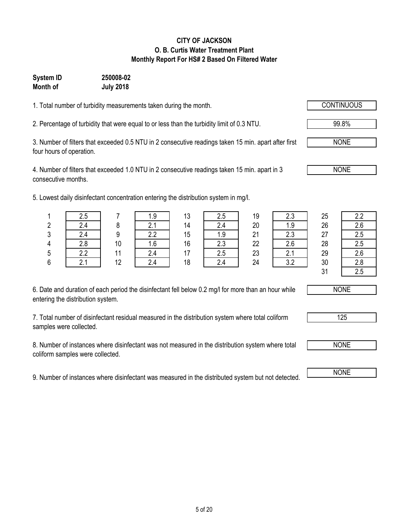# 5 of 20

#### **CITY OF JACKSON O. B. Curtis Water Treatment Plant Monthly Report For HS# 2 Based On Filtered Water**

# **Month of July 2018 System ID 250008-02**

1. Total number of turbidity measurements taken during the month.

2. Percentage of turbidity that were equal to or less than the turbidity limit of 0.3 NTU. 99.8%

3. Number of filters that exceeded 0.5 NTU in 2 consecutive readings taken 15 min. apart after first four hours of operation.

4. Number of filters that exceeded 1.0 NTU in 2 consecutive readings taken 15 min. apart in 3 consecutive months.

5. Lowest daily disinfectant concentration entering the distribution system in mg/l.

| 6. Date and duration of each period the disinfectant fell below 0.2 mg/l for more than an hour while |  |
|------------------------------------------------------------------------------------------------------|--|
| entering the distribution system.                                                                    |  |

7. Total number of disinfectant residual measured in the distribution system where total coliform samples were collected.

8. Number of instances where disinfectant was not measured in the distribution system where total coliform samples were collected.

9. Number of instances where disinfectant was measured in the distributed system but not detected.

|   | root aang alonnootant oontontration ontonny tho alonnouton opotoni in mynt |    |            |                |               |          |           |    |     |
|---|----------------------------------------------------------------------------|----|------------|----------------|---------------|----------|-----------|----|-----|
|   | 2.5                                                                        |    | ت. ا       | 13             | 2.5           | 19       |           | 25 |     |
|   | 2.4                                                                        |    | ົ<br>۵.۱   | 14             | ⌒<br>2.4      | 20       | 1.9       | 26 | 2.6 |
| ∩ | 2.4                                                                        |    | n n<br>Z.Z | 15             | 1.9           | 21       | ົົ<br>د.∠ | 27 | 2.5 |
|   | 2.8                                                                        | 10 | 1.6        | 16             | $\cap$<br>د.∠ | 22       | 2.6       | 28 | 2.5 |
|   | ാ                                                                          |    | 2.4        |                | 2.5           | 23       | <b>4.</b> | 29 | 2.6 |
| ລ | 21                                                                         | 12 | $\Omega$   | 1 <sub>Q</sub> | $\Omega$      | $\Omega$ | າ າ       | 20 | າ ໑ |

|         | 2.4              |    | $\sim$<br><u></u> | 14 |     | 20 | 1.9                          | 26 | 26        |
|---------|------------------|----|-------------------|----|-----|----|------------------------------|----|-----------|
| 3       |                  |    | 2.2               | 15 | 1.9 | 21 | 2.3                          | 27 | つに<br>ر.ء |
|         | 2.8              | 10 | 1.6               | 16 | 2.3 | 22 | 2.6                          | 28 | 2.5       |
|         | っっ<br>2.4        | 44 | 2.4               | 47 | 2.5 | 23 | $\sim$ $\lambda$<br><u>.</u> | 29 | 2.6       |
| C.<br>J | $\sim$ $\lambda$ | 12 | 2.4               | 18 | 2.4 | 24 | າ າ<br>J.Z                   | 30 | 2.8       |
|         |                  |    |                   |    |     |    |                              | 21 | つら        |



NONE





NONE

NONE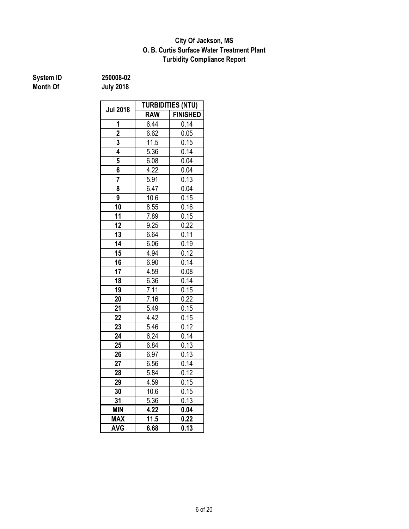### **Turbidity Compliance Report O. B. Curtis Surface Water Treatment Plant City Of Jackson, MS**

| System ID | 250008-02        |  |  |
|-----------|------------------|--|--|
| Month Of  | <b>July 2018</b> |  |  |

**System ID 250008-02**

| <b>Jul 2018</b> | <b>TURBIDITIES (NTU)</b> |                   |  |  |  |
|-----------------|--------------------------|-------------------|--|--|--|
|                 | <b>RAW</b>               | <b>FINISHED</b>   |  |  |  |
| 1               | 6.44                     | 0.14              |  |  |  |
| $\overline{2}$  | 6.62                     | 0.05              |  |  |  |
| 3               | 11.5                     | 0.15              |  |  |  |
| 4               | 5.36                     | 0.14              |  |  |  |
| 5               | 6.08                     | 0.04              |  |  |  |
| 6               | 4.22                     | 0.04              |  |  |  |
| 7               | 5.91                     | 0.13              |  |  |  |
| 8               | 6.47                     | 0.04              |  |  |  |
| 9               | 10.6                     | $0.\overline{15}$ |  |  |  |
| 10              | 8.55                     | 0.16              |  |  |  |
| 11              | 7.89                     | 0.15              |  |  |  |
| 12              | 9.25                     | 0.22              |  |  |  |
| 13              | 6.64                     | 0.11              |  |  |  |
| 14              | 6.06                     | 0.19              |  |  |  |
| 15              | 4.94                     | 0.12              |  |  |  |
| 16              | 6.90                     | 0.14              |  |  |  |
| 17              | 4.59                     | 0.08              |  |  |  |
| 18              | 6.36                     | 0.14              |  |  |  |
| 19              | 7.11                     | 0.15              |  |  |  |
| 20              | 7.16                     | 0.22              |  |  |  |
| 21              | 5.49                     | 0.15              |  |  |  |
| $\overline{22}$ | 4.42                     | 0.15              |  |  |  |
| 23              | 5.46                     | 0.12              |  |  |  |
| 24              | 6.24                     | 0.14              |  |  |  |
| 25              | 6.84                     | 0.13              |  |  |  |
| 26              | 6.97                     | 0.13              |  |  |  |
| 27              | 6.56                     | 0.14              |  |  |  |
| 28              | 5.84                     | 0.12              |  |  |  |
| 29              | 4.59                     | 0.15              |  |  |  |
| 30              | 10.6                     | 0.15              |  |  |  |
| 31              | $\overline{5.36}$        | 0.13              |  |  |  |
| <b>MIN</b>      | 4.22                     | 0.04              |  |  |  |
| <b>MAX</b>      | 11.5                     | 0.22              |  |  |  |
| <b>AVG</b>      | 6.68                     | 0.13              |  |  |  |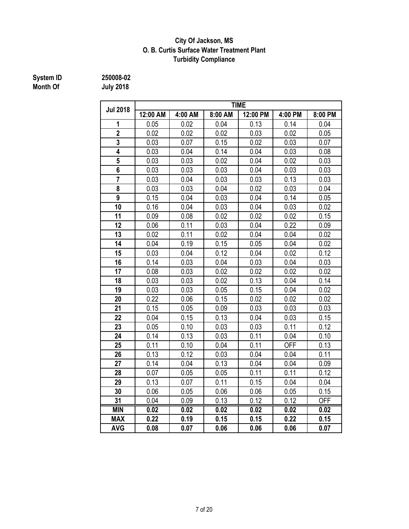### **City Of Jackson, MS O. B. Curtis Surface Water Treatment Plant Turbidity Compliance**

# **System ID** 250008-02<br> **Month Of** July 2018

|                         | <b>TIME</b>       |         |         |                   |                   |            |  |  |  |  |  |
|-------------------------|-------------------|---------|---------|-------------------|-------------------|------------|--|--|--|--|--|
| <b>Jul 2018</b>         | 12:00 AM          | 4:00 AM | 8:00 AM | 12:00 PM          | 4:00 PM           | 8:00 PM    |  |  |  |  |  |
| 1                       | 0.05              | 0.02    | 0.04    | 0.13              | 0.14              | 0.04       |  |  |  |  |  |
| $\overline{2}$          | 0.02              | 0.02    | 0.02    | 0.03              | 0.02              | 0.05       |  |  |  |  |  |
| 3                       | 0.03              | 0.07    | 0.15    | 0.02              | 0.03              | 0.07       |  |  |  |  |  |
| 4                       | 0.03              | 0.04    | 0.14    | 0.04              | 0.03              | 0.08       |  |  |  |  |  |
| $\overline{\mathbf{5}}$ | 0.03              | 0.03    | 0.02    | 0.04              | 0.02              | 0.03       |  |  |  |  |  |
| 6                       | 0.03              | 0.03    | 0.03    | 0.04              | 0.03              | 0.03       |  |  |  |  |  |
| 7                       | 0.03              | 0.04    | 0.03    | 0.03              | 0.13              | 0.03       |  |  |  |  |  |
| 8                       | 0.03              | 0.03    | 0.04    | 0.02              | 0.03              | 0.04       |  |  |  |  |  |
| 9                       | 0.15              | 0.04    | 0.03    | 0.04              | 0.14              | 0.05       |  |  |  |  |  |
| 10                      | 0.16              | 0.04    | 0.03    | 0.04              | 0.03              | 0.02       |  |  |  |  |  |
| 11                      | 0.09              | 0.08    | 0.02    | 0.02              | 0.02              | 0.15       |  |  |  |  |  |
| 12                      | 0.06              | 0.11    | 0.03    | 0.04              | 0.22              | 0.09       |  |  |  |  |  |
| 13                      | 0.02              | 0.11    | 0.02    | 0.04              | 0.04              | 0.02       |  |  |  |  |  |
| 14                      | 0.04              | 0.19    | 0.15    | 0.05              | 0.04              | 0.02       |  |  |  |  |  |
| 15                      | 0.03              | 0.04    | 0.12    | 0.04              | 0.02              | 0.12       |  |  |  |  |  |
| 16                      | 0.14              | 0.03    | 0.04    | 0.03              | 0.04              | 0.03       |  |  |  |  |  |
| 17                      | 0.08              | 0.03    | 0.02    | 0.02              | 0.02              | 0.02       |  |  |  |  |  |
| 18                      | 0.03              | 0.03    | 0.02    | 0.13              | 0.04              | 0.14       |  |  |  |  |  |
| 19                      | 0.03              | 0.03    | 0.05    | 0.15              | 0.04              | 0.02       |  |  |  |  |  |
| 20                      | 0.22              | 0.06    | 0.15    | 0.02              | 0.02              | 0.02       |  |  |  |  |  |
| 21                      | 0.15              | 0.05    | 0.09    | 0.03              | 0.03              | 0.03       |  |  |  |  |  |
| 22                      | 0.04              | 0.15    | 0.13    | 0.04              | 0.03              | 0.15       |  |  |  |  |  |
| 23                      | 0.05              | 0.10    | 0.03    | 0.03              | 0.11              | 0.12       |  |  |  |  |  |
| 24                      | 0.14              | 0.13    | 0.03    | 0.11              | 0.04              | 0.10       |  |  |  |  |  |
| 25                      | 0.11              | 0.10    | 0.04    | 0.11              | <b>OFF</b>        | 0.13       |  |  |  |  |  |
| 26                      | 0.13              | 0.12    | 0.03    | 0.04              | 0.04              | 0.11       |  |  |  |  |  |
| 27                      | 0.14              | 0.04    | 0.13    | 0.04              | 0.04              | 0.09       |  |  |  |  |  |
| 28                      | 0.07              | 0.05    | 0.05    | 0.11              | 0.11              | 0.12       |  |  |  |  |  |
| 29                      | 0.13              | 0.07    | 0.11    | 0.15              | 0.04              | 0.04       |  |  |  |  |  |
| 30                      | 0.06              | 0.05    | 0.06    | 0.06              | 0.05              | 0.15       |  |  |  |  |  |
| 31                      | 0.04              | 0.09    | 0.13    | 0.12              | 0.12              | <b>OFF</b> |  |  |  |  |  |
| <b>MIN</b>              | $\overline{0.02}$ | 0.02    | 0.02    | $\overline{0.02}$ | $\overline{0.02}$ | 0.02       |  |  |  |  |  |
| <b>MAX</b>              | 0.22              | 0.19    | 0.15    | 0.15              | 0.22              | 0.15       |  |  |  |  |  |
| <b>AVG</b>              | 0.08              | 0.07    | 0.06    | 0.06              | 0.06              | 0.07       |  |  |  |  |  |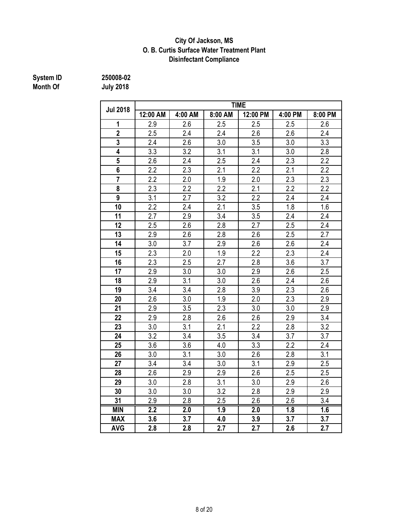#### **City Of Jackson, MS O. B. Curtis Surface Water Treatment Plant Disinfectant Compliance**

#### **System ID 250008-02 Month Of July 2018**

**12:00 AM 4:00 AM 8:00 AM 12:00 PM 4:00 PM 8:00 PM** 2.9 2.6 2.5 2.5 2.5 2.6 2.5 2.4 2.4 2.6 2.6 2.4 | 2.4 | 2.6 | 3.0 | 3.5 | 3.0 | 3.3 | 3.3 | 3.2 | 3.1 | 3.1 | 3.0 | 2.8 2.6 2.4 2.5 2.4 2.3 2.2 2.2 2.3 2.1 2.2 2.2 2.1 2.2 2.2 2.0 1.9 2.0 2.3 2.3 | 2.3 | 2.2 | 2.2 | 2.1 | 2.2 | 2.2 | 3.1 | 2.7 | 3.2 | 2.2 | 2.4 | 2.4 2.2 2.4 2.1 3.5 1.8 1.6 2.7 2.9 3.4 3.5 2.4 2.4 2.5 2.6 2.8 2.7 2.5 2.4 2.9 2.6 2.8 2.6 2.5 2.7 3.0 3.7 2.9 2.6 2.6 2.4 2.3 2.0 1.9 2.2 2.3 2.4 | 2.3 | 2.5 | 2.7 | 2.8 | 3.6 | 3.7 2.9 3.0 3.0 2.9 2.6 2.5 2.9 3.1 3.0 2.6 2.4 2.6 3.4 3.4 2.8 3.9 2.3 2.6 2.6 3.0 1.9 2.0 2.3 2.9 2.9 3.5 2.3 3.0 3.0 2.9 2.9 2.8 2.6 2.6 2.9 3.4 3.0 3.1 2.1 2.2 2.8 3.2 | 3.2 | 3.4 | 3.5 | 3.4 | 3.7 | 3.7 3.6 3.6 4.0 3.3 2.2 2.4 3.0 3.1 3.0 2.6 2.8 3.1 3.4 3.4 3.0 3.1 2.9 2.5 2.6 2.9 2.9 2.6 2.5 2.5 | 3.0 | 2.8 | 3.1 | 3.0 | 2.9 | 2.6 3.0 3.0 3.2 2.8 2.9 2.9 2.9 2.8 2.5 2.6 2.6 3.4 **MIN 2.2 2.0 1.9 2.0 1.8 1.6 MAX 3.6 3.7 4.0 3.9 3.7 3.7 Jul 2018 TIME**

**AVG 2.8 2.8 2.7 2.7 2.6 2.7**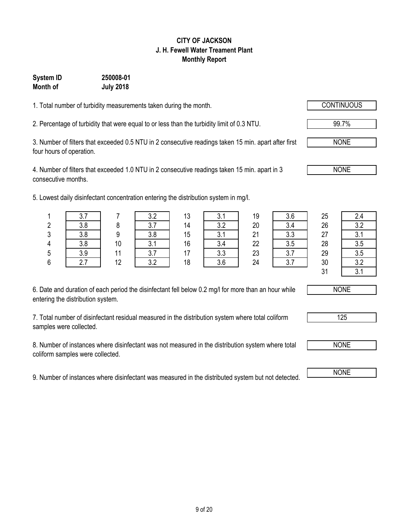# 9 of 20

#### **CITY OF JACKSON J. H. Fewell Water Treament Plant Monthly Report**

# **System ID 250008-01 Month of July 2018**

1. Total number of turbidity measurements taken during the month.

2. Percentage of turbidity that were equal to or less than the turbidity limit of 0.3 NTU. 99.7%

3. Number of filters that exceeded 0.5 NTU in 2 consecutive readings taken 15 min. apart after first four hours of operation.

4. Number of filters that exceeded 1.0 NTU in 2 consecutive readings taken 15 min. apart in 3 consecutive months.

5. Lowest daily disinfectant concentration entering the distribution system in mg/l.

| 6. Date and duration of each period the disinfectant fell below 0.2 mg/l for more than an hour while |  |
|------------------------------------------------------------------------------------------------------|--|
| entering the distribution system.                                                                    |  |

7. Total number of disinfectant residual measured in the distribution system where total coliform samples were collected.

8. Number of instances where disinfectant was not measured in the distribution system where total coliform samples were collected.

9. Number of instances where disinfectant was measured in the distributed system but not detected. NONE

|    | wood daily dibilitionally contournation ontoring the dibilibation bybloni in mg/h. |    |       |    |           |          |              |    |     |
|----|------------------------------------------------------------------------------------|----|-------|----|-----------|----------|--------------|----|-----|
|    | ◡.≀                                                                                |    |       | 13 |           | 19       | 3.6          | 25 | 2.4 |
|    | 3.8                                                                                |    | ا . ٥ | 14 | າ າ       | 20       |              | 26 | 3.2 |
|    | 3.8                                                                                |    | 3.8   | 15 |           | 21       | כי כ<br>ن. ب | 27 | U.  |
|    | 3.8                                                                                | 10 | ົ     | 16 | ົ<br>3.4  | 22       | 3.5          | 28 | 3.5 |
|    | 3.9                                                                                |    |       |    | ົາ<br>v.v | 23       |              | 29 | 3.5 |
| C. | 07                                                                                 | 10 | າ າ   | 10 | o c       | $\Omega$ |              | 20 | റ റ |







NONE

NONE

125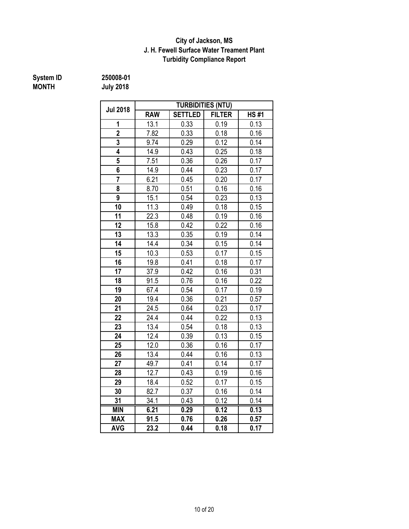### **J. H. Fewell Surface Water Treament Plant Turbidity Compliance Report City of Jackson, MS**

# **MONTH July 2018**

**System ID 250008-01**

| 250008-01 |  |  |  |  |
|-----------|--|--|--|--|
| luly 2018 |  |  |  |  |

|                 | <b>TURBIDITIES (NTU)</b> |                |               |             |  |  |  |  |  |
|-----------------|--------------------------|----------------|---------------|-------------|--|--|--|--|--|
| <b>Jul 2018</b> | <b>RAW</b>               | <b>SETTLED</b> | <b>FILTER</b> | <b>HS#1</b> |  |  |  |  |  |
| 1               | 13.1                     | 0.33           | 0.19          | 0.13        |  |  |  |  |  |
| $\overline{2}$  | 7.82                     | 0.33           | 0.18          | 0.16        |  |  |  |  |  |
| 3               | 9.74                     | 0.29           | 0.12          | 0.14        |  |  |  |  |  |
| 4               | 14.9                     | 0.43           | 0.25          | 0.18        |  |  |  |  |  |
| 5               | 7.51                     | 0.36           | 0.26          | 0.17        |  |  |  |  |  |
| 6               | 14.9                     | 0.44           | 0.23          | 0.17        |  |  |  |  |  |
| $\overline{7}$  | 6.21                     | 0.45           | 0.20          | 0.17        |  |  |  |  |  |
| 8               | 8.70                     | 0.51           | 0.16          | 0.16        |  |  |  |  |  |
| 9               | 15.1                     | 0.54           | 0.23          | 0.13        |  |  |  |  |  |
| 10              | 11.3                     | 0.49           | 0.18          | 0.15        |  |  |  |  |  |
| 11              | 22.3                     | 0.48           | 0.19          | 0.16        |  |  |  |  |  |
| 12              | 15.8                     | 0.42           | 0.22          | 0.16        |  |  |  |  |  |
| 13              | 13.3                     | 0.35           | 0.19          | 0.14        |  |  |  |  |  |
| 14              | 14.4                     | 0.34           | 0.15          | 0.14        |  |  |  |  |  |
| 15              | 10.3                     | 0.53           | 0.17          | 0.15        |  |  |  |  |  |
| 16              | 19.8                     | 0.41           | 0.18          | 0.17        |  |  |  |  |  |
| 17              | 37.9                     | 0.42           | 0.16          | 0.31        |  |  |  |  |  |
| 18              | 91.5                     | 0.76           | 0.16          | 0.22        |  |  |  |  |  |
| 19              | 67.4                     | 0.54           | 0.17          | 0.19        |  |  |  |  |  |
| 20              | 19.4                     | 0.36           | 0.21          | 0.57        |  |  |  |  |  |
| 21              | 24.5                     | 0.64           | 0.23          | 0.17        |  |  |  |  |  |
| 22              | 24.4                     | 0.44           | 0.22          | 0.13        |  |  |  |  |  |
| 23              | 13.4                     | 0.54           | 0.18          | 0.13        |  |  |  |  |  |
| 24              | 12.4                     | 0.39           | 0.13          | 0.15        |  |  |  |  |  |
| 25              | 12.0                     | 0.36           | 0.16          | 0.17        |  |  |  |  |  |
| 26              | 13.4                     | 0.44           | 0.16          | 0.13        |  |  |  |  |  |
| 27              | 49.7                     | 0.41           | 0.14          | 0.17        |  |  |  |  |  |
| 28              | 12.7                     | 0.43           | 0.19          | 0.16        |  |  |  |  |  |
| 29              | 18.4                     | 0.52           | 0.17          | 0.15        |  |  |  |  |  |
| 30              | 82.7                     | 0.37           | 0.16          | 0.14        |  |  |  |  |  |
| 31              | 34.1                     | 0.43           | 0.12          | 0.14        |  |  |  |  |  |
| <b>MIN</b>      | 6.21                     | 0.29           | 0.12          | 0.13        |  |  |  |  |  |
| <b>MAX</b>      | 91.5                     | 0.76           | 0.26          | 0.57        |  |  |  |  |  |
| <b>AVG</b>      | 23.2                     | 0.44           | 0.18          | 0.17        |  |  |  |  |  |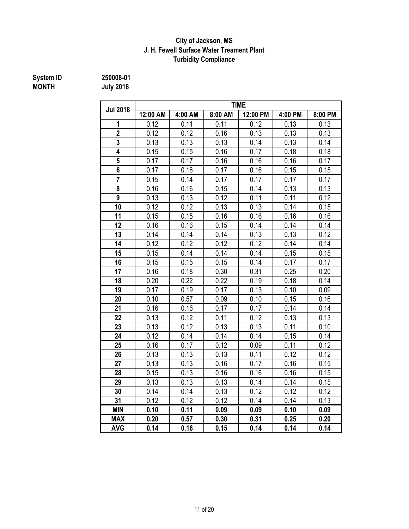### **J. H. Fewell Surface Water Treament Plant Turbidity Compliance City of Jackson, MS**

# **MONTH July 2018 System ID 250008-01**

| <b>Jul 2018</b> | <b>TIME</b> |         |         |          |         |         |  |  |  |
|-----------------|-------------|---------|---------|----------|---------|---------|--|--|--|
|                 | 12:00 AM    | 4:00 AM | 8:00 AM | 12:00 PM | 4:00 PM | 8:00 PM |  |  |  |
| 1               | 0.12        | 0.11    | 0.11    | 0.12     | 0.13    | 0.13    |  |  |  |
| $\overline{2}$  | 0.12        | 0.12    | 0.16    | 0.13     | 0.13    | 0.13    |  |  |  |
| 3               | 0.13        | 0.13    | 0.13    | 0.14     | 0.13    | 0.14    |  |  |  |
| 4               | 0.15        | 0.15    | 0.16    | 0.17     | 0.18    | 0.18    |  |  |  |
| 5               | 0.17        | 0.17    | 0.16    | 0.16     | 0.16    | 0.17    |  |  |  |
| 6               | 0.17        | 0.16    | 0.17    | 0.16     | 0.15    | 0.15    |  |  |  |
| $\overline{7}$  | 0.15        | 0.14    | 0.17    | 0.17     | 0.17    | 0.17    |  |  |  |
| 8               | 0.16        | 0.16    | 0.15    | 0.14     | 0.13    | 0.13    |  |  |  |
| $\overline{9}$  | 0.13        | 0.13    | 0.12    | 0.11     | 0.11    | 0.12    |  |  |  |
| 10              | 0.12        | 0.12    | 0.13    | 0.13     | 0.14    | 0.15    |  |  |  |
| 11              | 0.15        | 0.15    | 0.16    | 0.16     | 0.16    | 0.16    |  |  |  |
| 12              | 0.16        | 0.16    | 0.15    | 0.14     | 0.14    | 0.14    |  |  |  |
| 13              | 0.14        | 0.14    | 0.14    | 0.13     | 0.13    | 0.12    |  |  |  |
| 14              | 0.12        | 0.12    | 0.12    | 0.12     | 0.14    | 0.14    |  |  |  |
| 15              | 0.15        | 0.14    | 0.14    | 0.14     | 0.15    | 0.15    |  |  |  |
| 16              | 0.15        | 0.15    | 0.15    | 0.14     | 0.17    | 0.17    |  |  |  |
| 17              | 0.16        | 0.18    | 0.30    | 0.31     | 0.25    | 0.20    |  |  |  |
| 18              | 0.20        | 0.22    | 0.22    | 0.19     | 0.18    | 0.14    |  |  |  |
| 19              | 0.17        | 0.19    | 0.17    | 0.13     | 0.10    | 0.09    |  |  |  |
| 20              | 0.10        | 0.57    | 0.09    | 0.10     | 0.15    | 0.16    |  |  |  |
| 21              | 0.16        | 0.16    | 0.17    | 0.17     | 0.14    | 0.14    |  |  |  |
| 22              | 0.13        | 0.12    | 0.11    | 0.12     | 0.13    | 0.13    |  |  |  |
| 23              | 0.13        | 0.12    | 0.13    | 0.13     | 0.11    | 0.10    |  |  |  |
| 24              | 0.12        | 0.14    | 0.14    | 0.14     | 0.15    | 0.14    |  |  |  |
| 25              | 0.16        | 0.17    | 0.12    | 0.09     | 0.11    | 0.12    |  |  |  |
| 26              | 0.13        | 0.13    | 0.13    | 0.11     | 0.12    | 0.12    |  |  |  |
| 27              | 0.13        | 0.13    | 0.16    | 0.17     | 0.16    | 0.15    |  |  |  |
| 28              | 0.15        | 0.13    | 0.16    | 0.16     | 0.16    | 0.15    |  |  |  |
| 29              | 0.13        | 0.13    | 0.13    | 0.14     | 0.14    | 0.15    |  |  |  |
| 30              | 0.14        | 0.14    | 0.13    | 0.12     | 0.12    | 0.12    |  |  |  |
| 31              | 0.12        | 0.12    | 0.12    | 0.14     | 0.14    | 0.13    |  |  |  |
| <b>MIN</b>      | 0.10        | 0.11    | 0.09    | 0.09     | 0.10    | 0.09    |  |  |  |
| <b>MAX</b>      | 0.20        | 0.57    | 0.30    | 0.31     | 0.25    | 0.20    |  |  |  |
| <b>AVG</b>      | 0.14        | 0.16    | 0.15    | 0.14     | 0.14    | 0.14    |  |  |  |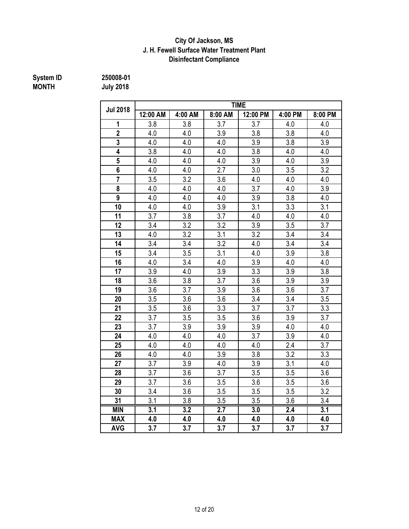## **Disinfectant Compliance City Of Jackson, MS J. H. Fewell Surface Water Treatment Plant**

# **System ID** 250008-01<br> **MONTH** July 2018

**MONTH July 2018**

|                         | <b>TIME</b>      |                  |                  |          |                  |         |  |  |  |
|-------------------------|------------------|------------------|------------------|----------|------------------|---------|--|--|--|
| <b>Jul 2018</b>         | 12:00 AM         | 4:00 AM          | 8:00 AM          | 12:00 PM | 4:00 PM          | 8:00 PM |  |  |  |
| 1                       | 3.8              | 3.8              | 3.7              | 3.7      | 4.0              | 4.0     |  |  |  |
| $\overline{\mathbf{2}}$ | 4.0              | 4.0              | 3.9              | 3.8      | 3.8              | 4.0     |  |  |  |
| $\overline{3}$          | 4.0              | 4.0              | 4.0              | 3.9      | 3.8              | 3.9     |  |  |  |
| 4                       | 3.8              | 4.0              | 4.0              | 3.8      | 4.0              | 4.0     |  |  |  |
| 5                       | 4.0              | 4.0              | 4.0              | 3.9      | 4.0              | 3.9     |  |  |  |
| 6                       | 4.0              | 4.0              | 2.7              | 3.0      | 3.5              | 3.2     |  |  |  |
| $\overline{7}$          | 3.5              | 3.2              | 3.6              | 4.0      | 4.0              | 4.0     |  |  |  |
| 8                       | 4.0              | 4.0              | 4.0              | 3.7      | 4.0              | 3.9     |  |  |  |
| 9                       | 4.0              | 4.0              | 4.0              | 3.9      | 3.8              | 4.0     |  |  |  |
| 10                      | 4.0              | 4.0              | 3.9              | 3.1      | 3.3              | 3.1     |  |  |  |
| 11                      | 3.7              | 3.8              | 3.7              | 4.0      | 4.0              | 4.0     |  |  |  |
| 12                      | 3.4              | 3.2              | 3.2              | 3.9      | 3.5              | 3.7     |  |  |  |
| 13                      | 4.0              | 3.2              | 3.1              | 3.2      | 3.4              | 3.4     |  |  |  |
| 14                      | 3.4              | 3.4              | 3.2              | 4.0      | 3.4              | 3.4     |  |  |  |
| 15                      | 3.4              | 3.5              | 3.1              | 4.0      | 3.9              | 3.8     |  |  |  |
| 16                      | 4.0              | 3.4              | 4.0              | 3.9      | 4.0              | 4.0     |  |  |  |
| 17                      | 3.9              | 4.0              | 3.9              | 3.3      | 3.9              | 3.8     |  |  |  |
| 18                      | 3.6              | 3.8              | 3.7              | 3.6      | 3.9              | 3.9     |  |  |  |
| 19                      | 3.6              | 3.7              | 3.9              | 3.6      | 3.6              | 3.7     |  |  |  |
| 20                      | 3.5              | 3.6              | 3.6              | 3.4      | 3.4              | 3.5     |  |  |  |
| 21                      | 3.5              | 3.6              | 3.3              | 3.7      | 3.7              | 3.3     |  |  |  |
| 22                      | 3.7              | 3.5              | 3.5              | 3.6      | 3.9              | 3.7     |  |  |  |
| 23                      | 3.7              | 3.9              | 3.9              | 3.9      | 4.0              | 4.0     |  |  |  |
| 24                      | 4.0              | 4.0              | 4.0              | 3.7      | 3.9              | 4.0     |  |  |  |
| 25                      | 4.0              | 4.0              | 4.0              | 4.0      | 2.4              | 3.7     |  |  |  |
| 26                      | 4.0              | 4.0              | 3.9              | 3.8      | 3.2              | 3.3     |  |  |  |
| 27                      | 3.7              | 3.9              | 4.0              | 3.9      | 3.1              | 4.0     |  |  |  |
| 28                      | 3.7              | 3.6              | 3.7              | 3.5      | 3.5              | 3.6     |  |  |  |
| 29                      | 3.7              | 3.6              | 3.5              | 3.6      | 3.5              | 3.6     |  |  |  |
| 30                      | 3.4              | 3.6              | 3.5              | 3.5      | 3.5              | 3.2     |  |  |  |
| 31                      | 3.1              | 3.8              | 3.5              | 3.5      | 3.6              | 3.4     |  |  |  |
| <b>MIN</b>              | $\overline{3.1}$ | $\overline{3.2}$ | $\overline{2.7}$ | 3.0      | $\overline{2.4}$ | 3.1     |  |  |  |
| <b>MAX</b>              | 4.0              | 4.0              | 4.0              | 4.0      | 4.0              | 4.0     |  |  |  |
| <b>AVG</b>              | 3.7              | 3.7              | 3.7              | 3.7      | 3.7              | 3.7     |  |  |  |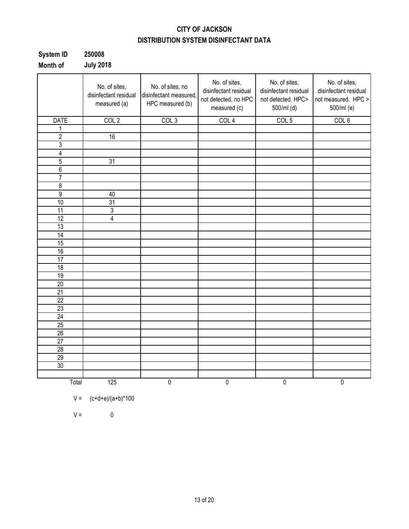# **CITY OF JACKSON DISTRIBUTION SYSTEM DISINFECTANT DATA**

| System ID | 250008           |
|-----------|------------------|
| Month of  | <b>July 2018</b> |

|                 | No. of sites,<br>disinfectant residual<br>measured (a) | No. of sites, no<br>disinfectant measured,<br>HPC measured (b) | No. of sites,<br>disinfectant residual<br>not detected, no HPC<br>measured (c) | No. of sites,<br>disinfectant residual<br>not detected. HPC><br>500/ml (d) | No. of sites,<br>disinfectant residual<br>not measured. HPC ><br>500/ml (e) |
|-----------------|--------------------------------------------------------|----------------------------------------------------------------|--------------------------------------------------------------------------------|----------------------------------------------------------------------------|-----------------------------------------------------------------------------|
| <b>DATE</b>     | COL <sub>2</sub>                                       | COL <sub>3</sub>                                               | COL <sub>4</sub>                                                               | COL <sub>5</sub>                                                           | COL <sub>6</sub>                                                            |
| 1               |                                                        |                                                                |                                                                                |                                                                            |                                                                             |
| $\overline{2}$  | 16                                                     |                                                                |                                                                                |                                                                            |                                                                             |
| 3               |                                                        |                                                                |                                                                                |                                                                            |                                                                             |
| 4               |                                                        |                                                                |                                                                                |                                                                            |                                                                             |
| $\overline{5}$  | 31                                                     |                                                                |                                                                                |                                                                            |                                                                             |
| $\overline{6}$  |                                                        |                                                                |                                                                                |                                                                            |                                                                             |
| $\overline{7}$  |                                                        |                                                                |                                                                                |                                                                            |                                                                             |
| 8               |                                                        |                                                                |                                                                                |                                                                            |                                                                             |
| $\overline{9}$  | 40                                                     |                                                                |                                                                                |                                                                            |                                                                             |
| 10              | 31                                                     |                                                                |                                                                                |                                                                            |                                                                             |
| 11              | $\overline{3}$                                         |                                                                |                                                                                |                                                                            |                                                                             |
| 12              | $\overline{4}$                                         |                                                                |                                                                                |                                                                            |                                                                             |
| 13              |                                                        |                                                                |                                                                                |                                                                            |                                                                             |
| $\overline{14}$ |                                                        |                                                                |                                                                                |                                                                            |                                                                             |
| 15              |                                                        |                                                                |                                                                                |                                                                            |                                                                             |
| 16              |                                                        |                                                                |                                                                                |                                                                            |                                                                             |
| $\overline{17}$ |                                                        |                                                                |                                                                                |                                                                            |                                                                             |
| 18              |                                                        |                                                                |                                                                                |                                                                            |                                                                             |
| 19              |                                                        |                                                                |                                                                                |                                                                            |                                                                             |
| $\overline{20}$ |                                                        |                                                                |                                                                                |                                                                            |                                                                             |
| $\overline{21}$ |                                                        |                                                                |                                                                                |                                                                            |                                                                             |
| $\overline{22}$ |                                                        |                                                                |                                                                                |                                                                            |                                                                             |
| 23              |                                                        |                                                                |                                                                                |                                                                            |                                                                             |
| $\overline{24}$ |                                                        |                                                                |                                                                                |                                                                            |                                                                             |
| $\overline{25}$ |                                                        |                                                                |                                                                                |                                                                            |                                                                             |
| 26              |                                                        |                                                                |                                                                                |                                                                            |                                                                             |
| 27              |                                                        |                                                                |                                                                                |                                                                            |                                                                             |
| 28              |                                                        |                                                                |                                                                                |                                                                            |                                                                             |
| 29              |                                                        |                                                                |                                                                                |                                                                            |                                                                             |
| 30              |                                                        |                                                                |                                                                                |                                                                            |                                                                             |
|                 |                                                        |                                                                |                                                                                |                                                                            |                                                                             |
| Total           | 125                                                    | $\overline{0}$                                                 | $\overline{0}$                                                                 | 0                                                                          | $\overline{0}$                                                              |

$$
V = (c+d+e)/(a+b)^*100
$$

 $V = 0$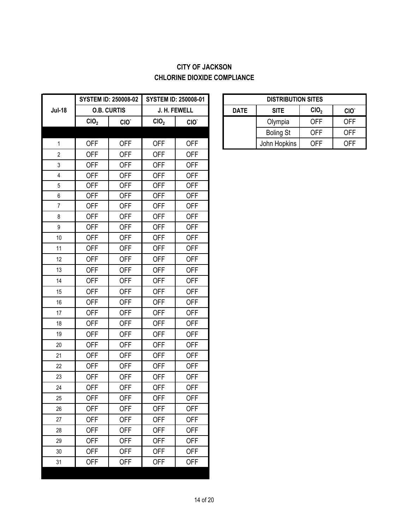# **CITY OF JACKSON CHLORINE DIOXIDE COMPLIANCE**

|                  |                  | <b>SYSTEM ID: 250008-02</b> |                  | <b>SYSTEM ID: 250008-01</b> |             | <b>DISTRIBUTION SITES</b> |                  |                  |
|------------------|------------------|-----------------------------|------------------|-----------------------------|-------------|---------------------------|------------------|------------------|
| <b>Jul-18</b>    |                  | <b>O.B. CURTIS</b>          |                  | J. H. FEWELL                | <b>DATE</b> | <b>SITE</b>               | ClO <sub>2</sub> | CIO <sup>.</sup> |
|                  | CIO <sub>2</sub> | CIO.                        | CIO <sub>2</sub> | CIO.                        |             | Olympia                   | <b>OFF</b>       | <b>OFF</b>       |
|                  |                  |                             |                  |                             |             | <b>Boling St</b>          | <b>OFF</b>       | <b>OFF</b>       |
| $\mathbf{1}$     | <b>OFF</b>       | <b>OFF</b>                  | <b>OFF</b>       | <b>OFF</b>                  |             | John Hopkins              | <b>OFF</b>       | <b>OFF</b>       |
| $\overline{2}$   | <b>OFF</b>       | <b>OFF</b>                  | <b>OFF</b>       | <b>OFF</b>                  |             |                           |                  |                  |
| $\mathsf 3$      | <b>OFF</b>       | <b>OFF</b>                  | <b>OFF</b>       | <b>OFF</b>                  |             |                           |                  |                  |
| 4                | <b>OFF</b>       | <b>OFF</b>                  | <b>OFF</b>       | <b>OFF</b>                  |             |                           |                  |                  |
| $\,$ 5 $\,$      | <b>OFF</b>       | <b>OFF</b>                  | <b>OFF</b>       | <b>OFF</b>                  |             |                           |                  |                  |
| $\,6\,$          | <b>OFF</b>       | <b>OFF</b>                  | <b>OFF</b>       | <b>OFF</b>                  |             |                           |                  |                  |
| $\boldsymbol{7}$ | <b>OFF</b>       | <b>OFF</b>                  | <b>OFF</b>       | <b>OFF</b>                  |             |                           |                  |                  |
| 8                | <b>OFF</b>       | <b>OFF</b>                  | <b>OFF</b>       | <b>OFF</b>                  |             |                           |                  |                  |
| $\boldsymbol{9}$ | <b>OFF</b>       | <b>OFF</b>                  | <b>OFF</b>       | <b>OFF</b>                  |             |                           |                  |                  |
| 10               | <b>OFF</b>       | <b>OFF</b>                  | <b>OFF</b>       | <b>OFF</b>                  |             |                           |                  |                  |
| 11               | <b>OFF</b>       | <b>OFF</b>                  | <b>OFF</b>       | <b>OFF</b>                  |             |                           |                  |                  |
| 12               | <b>OFF</b>       | <b>OFF</b>                  | <b>OFF</b>       | <b>OFF</b>                  |             |                           |                  |                  |
| 13               | <b>OFF</b>       | <b>OFF</b>                  | <b>OFF</b>       | <b>OFF</b>                  |             |                           |                  |                  |
| 14               | <b>OFF</b>       | <b>OFF</b>                  | <b>OFF</b>       | <b>OFF</b>                  |             |                           |                  |                  |
| 15               | <b>OFF</b>       | <b>OFF</b>                  | <b>OFF</b>       | <b>OFF</b>                  |             |                           |                  |                  |
| 16               | <b>OFF</b>       | <b>OFF</b>                  | <b>OFF</b>       | <b>OFF</b>                  |             |                           |                  |                  |
| 17               | <b>OFF</b>       | <b>OFF</b>                  | <b>OFF</b>       | <b>OFF</b>                  |             |                           |                  |                  |
| 18               | <b>OFF</b>       | <b>OFF</b>                  | <b>OFF</b>       | <b>OFF</b>                  |             |                           |                  |                  |
| 19               | <b>OFF</b>       | <b>OFF</b>                  | <b>OFF</b>       | <b>OFF</b>                  |             |                           |                  |                  |
| 20               | <b>OFF</b>       | <b>OFF</b>                  | <b>OFF</b>       | <b>OFF</b>                  |             |                           |                  |                  |
| 21               | <b>OFF</b>       | <b>OFF</b>                  | <b>OFF</b>       | <b>OFF</b>                  |             |                           |                  |                  |
| 22               | <b>OFF</b>       | <b>OFF</b>                  | <b>OFF</b>       | <b>OFF</b>                  |             |                           |                  |                  |
| 23               | <b>OFF</b>       | <b>OFF</b>                  | <b>OFF</b>       | <b>OFF</b>                  |             |                           |                  |                  |
| 24               | <b>OFF</b>       | <b>OFF</b>                  | <b>OFF</b>       | <b>OFF</b>                  |             |                           |                  |                  |
| 25               | <b>OFF</b>       | <b>OFF</b>                  | <b>OFF</b>       | <b>OFF</b>                  |             |                           |                  |                  |
| 26               | <b>OFF</b>       | <b>OFF</b>                  | <b>OFF</b>       | <b>OFF</b>                  |             |                           |                  |                  |
| 27               | <b>OFF</b>       | <b>OFF</b>                  | <b>OFF</b>       | <b>OFF</b>                  |             |                           |                  |                  |
| 28               | <b>OFF</b>       | <b>OFF</b>                  | <b>OFF</b>       | <b>OFF</b>                  |             |                           |                  |                  |
| 29               | <b>OFF</b>       | <b>OFF</b>                  | <b>OFF</b>       | <b>OFF</b>                  |             |                           |                  |                  |
| 30               | <b>OFF</b>       | <b>OFF</b>                  | <b>OFF</b>       | <b>OFF</b>                  |             |                           |                  |                  |
| 31               | <b>OFF</b>       | <b>OFF</b>                  | <b>OFF</b>       | <b>OFF</b>                  |             |                           |                  |                  |
|                  |                  |                             |                  |                             |             |                           |                  |                  |

| <b>STEM ID: 250008-02</b> |                    | <b>SYSTEM ID: 250008-01</b> |                  |  | <b>DISTRIBUTION SITES</b> |                  |             |             |                  |     |
|---------------------------|--------------------|-----------------------------|------------------|--|---------------------------|------------------|-------------|-------------|------------------|-----|
|                           | <b>O.B. CURTIS</b> | J. H. FEWELL                |                  |  |                           |                  | <b>DATE</b> | <b>SITE</b> | CIO <sub>2</sub> | CIO |
| CIO,                      | CIO <sup>-</sup>   | CIO <sub>2</sub>            | CIO <sup>-</sup> |  |                           | Olympia          | OFF         | <b>OFF</b>  |                  |     |
|                           |                    |                             |                  |  |                           | <b>Boling St</b> | OFF         | <b>OFF</b>  |                  |     |
| OFF                       | OFF                | <b>OFF</b>                  | OFF              |  |                           | John Hopkins     | <b>OFF</b>  | <b>OFF</b>  |                  |     |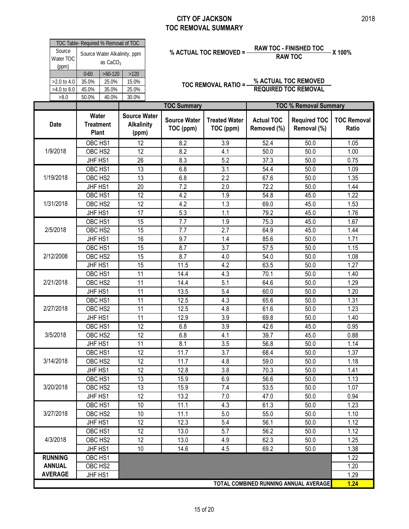|                              | TOC Table- Required % Removal of TOC       |           |       |  |  |  |  |
|------------------------------|--------------------------------------------|-----------|-------|--|--|--|--|
| Source<br>Water TOC<br>(ppm) | Source Water Alkalinity, ppm<br>as $CaCO3$ |           |       |  |  |  |  |
|                              | $0 - 60$                                   | $>60-120$ | >120  |  |  |  |  |
| $>2.0$ to 4.0                | 35.0%                                      | 25.0%     | 15.0% |  |  |  |  |
| >4.0 to 8.0                  | 45.0%                                      | 35.0%     | 25.0% |  |  |  |  |
| >8.0                         | 40.0%<br>50.0%<br>30.0%                    |           |       |  |  |  |  |
|                              |                                            |           |       |  |  |  |  |
|                              |                                            |           |       |  |  |  |  |

# **% ACTUAL TOC REMOVED = RAW TOC - FINISHED TOC X 100% RAW TOC**

| Source<br>Water TOC  | TOC Table- Required % Removal of TOC |                                  | Source Water Alkalinity, ppm |                                  | % ACTUAL TOC REMOVED = -          | <b>RAW TOC - FINISHED TOC</b><br><b>RAW TOC</b> | -X 100%                               |                             |
|----------------------|--------------------------------------|----------------------------------|------------------------------|----------------------------------|-----------------------------------|-------------------------------------------------|---------------------------------------|-----------------------------|
| (ppm)<br>>2.0 to 4.0 | $0 - 60$<br>35.0%                    | as $CaCO3$<br>$>60-120$<br>25.0% | $>120$<br>15.0%              |                                  | <b>TOC REMOVAL RATIO =-</b>       |                                                 | % ACTUAL TOC REMOVED                  |                             |
| >4.0 to 8.0<br>>8.0  | 45.0%<br>50.0%                       | 35.0%<br>40.0%                   | 25.0%<br>30.0%               |                                  |                                   |                                                 | <b>REQUIRED TOC REMOVAL</b>           |                             |
|                      |                                      |                                  |                              | <b>TOC Summary</b>               |                                   |                                                 | <b>TOC % Removal Summary</b>          |                             |
|                      | Water                                |                                  | <b>Source Water</b>          |                                  |                                   |                                                 |                                       |                             |
| <b>Date</b>          | <b>Treatment</b><br>Plant            |                                  | <b>Alkalinity</b><br>(ppm)   | <b>Source Water</b><br>TOC (ppm) | <b>Treated Water</b><br>TOC (ppm) | <b>Actual TOC</b><br>Removed (%)                | <b>Required TOC</b><br>Removal (%)    | <b>TOC Removal</b><br>Ratio |
|                      | OBC HS1                              |                                  | 12                           | 8.2                              | 3.9                               | 52.4                                            | 50.0                                  | 1.05                        |
| 1/9/2018             | OBC HS2                              |                                  | 12                           | 8.2                              | 4.1                               | 50.0                                            | 50.0                                  | 1.00                        |
|                      | JHF HS1                              |                                  | 26                           | 8.3                              | 5.2                               | 37.3                                            | 50.0                                  | 0.75                        |
|                      | OBC HS1                              |                                  | 13                           | 6.8                              | 3.1                               | 54.4                                            | 50.0                                  | 1.09                        |
| 1/19/2018            | OBC HS2                              |                                  | 13                           | 6.8                              | 2.2                               | 67.6                                            | 50.0                                  | 1.35                        |
|                      | JHF HS1                              |                                  | 20                           | 7.2                              | 2.0                               | 72.2                                            | 50.0                                  | 1.44                        |
|                      | OBC HS1                              |                                  | 12                           | 4.2                              | 1.9                               | 54.8                                            | 45.0                                  | 1.22                        |
| 1/31/2018            | OBC HS2                              |                                  | 12                           | 4.2                              | 1.3                               | 69.0                                            | 45.0                                  | 1.53                        |
|                      | JHF HS1                              |                                  | 17                           | 5.3                              | 1.1                               | 79.2                                            | 45.0                                  | 1.76                        |
|                      | OBC HS1                              |                                  | $\overline{15}$              | $\overline{7.7}$                 | 1.9                               | 75.3                                            | 45.0                                  | 1.67                        |
| 2/5/2018             | OBC HS2                              |                                  | 15                           | 7.7                              | 2.7                               | 64.9                                            | 45.0                                  | 1.44                        |
|                      | JHF HS1                              |                                  | 16                           | 9.7                              | 1.4                               | 85.6                                            | 50.0                                  | 1.71                        |
|                      | OBC HS1                              |                                  | 15                           | 8.7                              | 3.7                               | 57.5                                            | 50.0                                  | 1.15                        |
| 2/12/2008            | OBC HS2                              |                                  | 15                           | 8.7                              | 4.0                               | 54.0                                            | 50.0                                  | 1.08                        |
|                      | JHF HS1                              |                                  | 15                           | 11.5                             | 4.2                               | 63.5                                            | 50.0                                  | 1.27                        |
|                      | OBC HS1                              |                                  | $\overline{11}$              | 14.4                             | 4.3                               | 70.1                                            | 50.0                                  | 1.40                        |
| 2/21/2018            | OBC HS2                              |                                  | 11                           | 14.4                             | 5.1                               | 64.6                                            | 50.0                                  | 1.29                        |
|                      | JHF HS1                              |                                  | 11                           | 13.5                             | 5.4                               | 60.0                                            | 50.0                                  | 1.20                        |
|                      | OBC HS1                              |                                  | 11                           | 12.5                             | 4.3                               | 65.6                                            | 50.0                                  | 1.31                        |
| 2/27/2018            | OBC HS2                              |                                  | 11                           | 12.5                             | 4.8                               | 61.6                                            | 50.0                                  | 1.23                        |
|                      | JHF HS1                              |                                  | 11                           | 12.9                             | 3.9                               | 69.8                                            | 50.0                                  | 1.40                        |
|                      | OBC HS1                              |                                  | $\overline{12}$              | 6.8                              | 3.9                               | 42.6                                            | 45.0                                  | 0.95                        |
| 3/5/2018             | OBC HS2                              |                                  | 12                           | 6.8                              | 4.1                               | 39.7                                            | 45.0                                  | 0.88                        |
|                      | JHF HS1                              |                                  | 11                           | 8.1                              | 3.5                               | 56.8                                            | 50.0                                  | 1.14                        |
|                      | OBC HS1                              |                                  | $\overline{12}$              | 11.7                             | 3.7                               | 68.4                                            | 50.0                                  | 1.37                        |
| 3/14/2018            | OBC HS2                              |                                  | 12                           | 11.7                             | 4.8                               | 59.0                                            | 50.0                                  | 1.18                        |
|                      | JHF HS1                              |                                  | 12                           | 12.8                             | 3.8                               | 70.3                                            | 50.0                                  | 1.41                        |
|                      | OBC HS1                              |                                  | $\overline{13}$              | 15.9                             | 6.9                               | 56.6                                            | 50.0                                  | 1.13                        |
| 3/20/2018            | OBC HS2                              |                                  | 13                           | 15.9                             | 7.4                               | 53.5                                            | 50.0                                  | 1.07                        |
|                      | JHF HS1                              |                                  | 12                           | 13.2                             | 7.0                               | 47.0                                            | 50.0                                  | 0.94                        |
|                      | OBC HS1                              |                                  | 10                           | 11.1                             | 4.3                               | 61.3                                            | 50.0                                  | 1.23                        |
| 3/27/2018            | OBC HS2                              |                                  | 10                           | 11.1                             | 5.0                               | 55.0                                            | 50.0                                  | 1.10                        |
|                      | JHF HS1                              |                                  | 12                           | 12.3                             | 5.4                               | 56.1                                            | 50.0                                  | 1.12                        |
|                      | OBC HS1                              |                                  | $\overline{12}$              | 13.0                             | 5.7                               | 56.2                                            | 50.0                                  | 1.12                        |
| 4/3/2018             |                                      | OBC HS2                          | 12                           | 13.0                             | 4.9                               | 62.3                                            | 50.0                                  | 1.25                        |
|                      | JHF HS1                              |                                  | 10                           | 14.6                             | 4.5                               | 69.2                                            | 50.0                                  | 1.38                        |
| <b>RUNNING</b>       | OBC HS1                              |                                  |                              |                                  |                                   |                                                 |                                       | 1.22                        |
| <b>ANNUAL</b>        | OBC HS2                              |                                  |                              |                                  |                                   |                                                 |                                       | 1.20                        |
| <b>AVERAGE</b>       | JHF HS1                              |                                  |                              |                                  |                                   |                                                 |                                       | 1.29                        |
|                      |                                      |                                  |                              |                                  |                                   |                                                 | TOTAL COMBINED RUNNING ANNUAL AVERAGE | 1.24                        |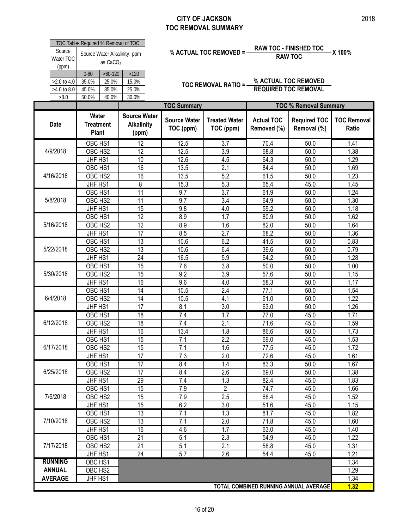| Source<br>Water TOC<br>(ppm)       |                                           | TOC Table- Required % Removal of TOC<br>Source Water Alkalinity, ppm<br>as $CaCO3$ |                                                   |  |                                  | % ACTUAL TOC REMOVED = -          | <b>RAW TOC - FINISHED TOC</b><br><b>RAW TOC</b> | X 100%                                              |                         |
|------------------------------------|-------------------------------------------|------------------------------------------------------------------------------------|---------------------------------------------------|--|----------------------------------|-----------------------------------|-------------------------------------------------|-----------------------------------------------------|-------------------------|
| >2.0 to 4.0<br>>4.0 to 8.0<br>>8.0 | $0 - 60$<br>35.0%<br>45.0%<br>50.0%       | $>60-120$<br>25.0%<br>35.0%<br>40.0%                                               | $>120$<br>15.0%<br>25.0%<br>30.0%                 |  |                                  | TOC REMOVAL RATIO =-              |                                                 | % ACTUAL TOC REMOVED<br><b>REQUIRED TOC REMOVAL</b> |                         |
|                                    |                                           |                                                                                    |                                                   |  | <b>TOC Summary</b>               |                                   |                                                 | <b>TOC % Removal Summary</b>                        |                         |
| <b>Date</b>                        | Water<br><b>Treatment</b><br><b>Plant</b> |                                                                                    | <b>Source Water</b><br><b>Alkalinity</b><br>(ppm) |  | <b>Source Water</b><br>TOC (ppm) | <b>Treated Water</b><br>TOC (ppm) | <b>Actual TOC</b><br>Removed (%)                | <b>Required TOC</b><br>Removal (%)                  | <b>TOC Ren</b><br>Ratio |
|                                    | OBC <sub>HS1</sub>                        |                                                                                    | 12                                                |  | 12.5                             | 3.7                               | 70.4                                            | 50.0                                                | 1.41                    |
| 4/9/2018                           | OBC HS2                                   |                                                                                    | 12                                                |  | 12.5                             | 3.9                               | 68.8                                            | 50.0                                                | 1.38                    |
|                                    | JHF HS1                                   |                                                                                    | 10                                                |  | 12.6                             | 4.5                               | 64.3                                            | 50.0                                                | 1.29                    |
|                                    | OBC HS1                                   |                                                                                    | 16<br>16                                          |  | 13.5                             | 2.1                               | 84.4                                            | 50.0                                                | 1.69                    |
| 4/16/2018                          |                                           | OBC <sub>HS2</sub>                                                                 |                                                   |  | 13.5                             | 5.2                               | 61.5                                            | 50.0                                                | 1.23                    |
|                                    | JHF HS1                                   |                                                                                    | 8                                                 |  | 15.3                             | 5.3                               | 65.4                                            | 45.0                                                | 1.45                    |
|                                    | OBC HS1                                   |                                                                                    | $\overline{11}$                                   |  | 9.7                              | 3.7                               | 61.9                                            | 50.0                                                | 1.24                    |
| 5/8/2018                           | OBC HS2                                   |                                                                                    | 11                                                |  | 9.7                              | $\overline{3.4}$                  | 64.9                                            | 50.0                                                | 1.30                    |
|                                    | JHF HS1                                   |                                                                                    | 15                                                |  | 9.8                              | 4.0                               | 59.2                                            | 50.0                                                | 1.18                    |
| 5/16/2018<br>5/22/2018             | OBC HS1<br>OBC HS2                        |                                                                                    | $\overline{12}$<br>12                             |  | 8.9                              | 1.7<br>1.6                        | 80.9                                            | 50.0                                                | 1.62                    |
|                                    | JHF HS1                                   |                                                                                    | 17                                                |  | 8.9<br>8.5                       | 2.7                               | 82.0<br>68.2                                    | 50.0<br>50.0                                        | 1.64<br>1.36            |
|                                    | OBC HS1                                   |                                                                                    | $\overline{13}$                                   |  | 10.6                             | 6.2                               | 41.5                                            | 50.0                                                | 0.83                    |
|                                    | OBC HS2                                   |                                                                                    | 13                                                |  | 10.6                             | 6.4                               | 39.6                                            | 50.0                                                | 0.79                    |
|                                    | JHF HS1                                   |                                                                                    | 24                                                |  | 16.5                             | 5.9                               | 64.2                                            | 50.0                                                | 1.28                    |
|                                    | OBC HS1                                   |                                                                                    | 15                                                |  | 7.6                              | 3.8                               | 50.0                                            | 50.0                                                | 1.00                    |
|                                    | OBC HS2                                   |                                                                                    | 15                                                |  | 9.2                              | 3.9                               | 57.6                                            | 50.0                                                | 1.15                    |
|                                    | JHF HS1                                   |                                                                                    | 16                                                |  | 9.6                              | 4.0                               | 58.3                                            | 50.0                                                | 1.17                    |
|                                    | OBC HS1                                   |                                                                                    | $\overline{14}$                                   |  | 10.5                             | 2.4                               | 77.1                                            | 50.0                                                | 1.54                    |
|                                    | OBC HS2                                   |                                                                                    | 14                                                |  | 10.5                             | 4.1                               | 61.0                                            | 50.0                                                | 1.22                    |
|                                    | JHF HS1                                   |                                                                                    | 17                                                |  | 8.1                              | 3.0                               | 63.0                                            | 50.0                                                | 1.26                    |
|                                    | OBC HS1                                   |                                                                                    | 18                                                |  | 7.4                              | 1.7                               | 77.0                                            | 45.0                                                | 1.71                    |
| 6/12/2018                          | OBC HS2                                   |                                                                                    | 18                                                |  | 7.4                              | 2.1                               | 71.6                                            | 45.0                                                | 1.59                    |
|                                    | JHF HS1                                   |                                                                                    | 16                                                |  | 13.4                             | 1.8                               | 86.6                                            | 50.0                                                | 1.73                    |
|                                    | OBC HS1                                   |                                                                                    | $\overline{15}$                                   |  | 7.1                              | $\overline{2.2}$                  | 69.0                                            | 45.0                                                | 1.53                    |
| 6/17/2018                          | OBC HS2                                   |                                                                                    | 15                                                |  | 7.1                              | 1.6                               | 77.5                                            | 45.0                                                | 1.72                    |
|                                    | JHF HS1                                   |                                                                                    | 17                                                |  | 7.3                              | 2.0                               | 72.6                                            | 45.0                                                | 1.61                    |
|                                    | OBC HS1                                   |                                                                                    | 17                                                |  | 8.4                              | 1.4                               | 83.3                                            | 50.0                                                | 1.67                    |
| 6/25/2018                          | OBC HS2                                   |                                                                                    | 17                                                |  | 8.4                              | 2.6                               | 69.0                                            | 50.0                                                | 1.38                    |
| 5/30/2018<br>6/4/2018              | JHF HS1                                   |                                                                                    | 29                                                |  | 7.4                              | 1.3                               | 82.4                                            | 45.0                                                | 1.83                    |
|                                    | OBC HS1                                   |                                                                                    | 15                                                |  | 7.9                              | $\overline{2}$                    | 74.7                                            | 45.0                                                | 1.66                    |
| 7/6/2018                           | OBC HS2                                   |                                                                                    | 15                                                |  | 7.9                              | 2.5                               | 68.4                                            | 45.0                                                | 1.52                    |
|                                    | JHF HS1                                   |                                                                                    | 15                                                |  | 6.2                              | 3.0                               | 51.6                                            | 45.0                                                | 1.15                    |
|                                    | OBC HS1                                   |                                                                                    | 13                                                |  | 7.1                              | 1.3                               | 81.7                                            | 45.0                                                | 1.82                    |
| 7/10/2018                          | OBC HS2                                   |                                                                                    | 13                                                |  | 7.1                              | 2.0                               | 71.8                                            | 45.0                                                | 1.60                    |
|                                    | JHF HS1                                   |                                                                                    | 16                                                |  | 4.6                              | 1.7                               | 63.0                                            | 45.0                                                | 1.40                    |
|                                    | OBC HS1                                   |                                                                                    | 21                                                |  | 5.1                              | 2.3                               | 54.9                                            | 45.0                                                | 1.22                    |
| 7/17/2018                          | OBC HS2                                   |                                                                                    | 21                                                |  | 5.1                              | 2.1                               | 58.8                                            | 45.0                                                | 1.31                    |
|                                    | JHF HS1                                   |                                                                                    | 24                                                |  | 5.7                              | 2.6                               | 54.4                                            | 45.0                                                | 1.21                    |
| <b>RUNNING</b>                     | OBC HS1                                   |                                                                                    |                                                   |  |                                  |                                   |                                                 |                                                     | 1.34                    |
| <b>ANNUAL</b>                      | OBC HS2                                   |                                                                                    |                                                   |  |                                  |                                   |                                                 |                                                     | 1.29                    |
| <b>AVERAGE</b>                     | JHF HS1                                   |                                                                                    |                                                   |  |                                  |                                   |                                                 |                                                     | 1.34                    |

**TOC Removal Ratio**

**1.32**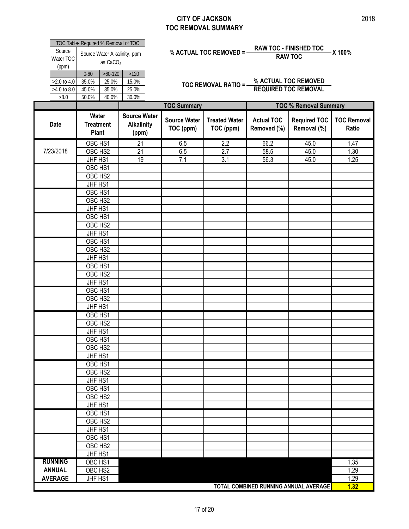| Source<br>Water TOC                             | TOC Table- Required % Removal of TOC | as CaCO <sub>3</sub>                 | Source Water Alkalinity, ppm                      | <b>RAW TOC - FINISHED TOC</b><br>X 100%<br>% ACTUAL TOC REMOVED = -<br><b>RAW TOC</b> |                                  |                                   |                                  |                                                     |                             |  |
|-------------------------------------------------|--------------------------------------|--------------------------------------|---------------------------------------------------|---------------------------------------------------------------------------------------|----------------------------------|-----------------------------------|----------------------------------|-----------------------------------------------------|-----------------------------|--|
| (ppm)<br>$>2.0$ to 4.0<br>$>4.0$ to 8.0<br>>8.0 | $0 - 60$<br>35.0%<br>45.0%<br>50.0%  | $>60-120$<br>25.0%<br>35.0%<br>40.0% | $>120$<br>15.0%<br>25.0%<br>30.0%                 |                                                                                       |                                  | TOC REMOVAL RATIO =-              |                                  | % ACTUAL TOC REMOVED<br><b>REQUIRED TOC REMOVAL</b> |                             |  |
|                                                 |                                      |                                      |                                                   |                                                                                       | <b>TOC Summary</b>               |                                   |                                  | <b>TOC % Removal Summary</b>                        |                             |  |
| <b>Date</b>                                     |                                      | Water<br><b>Treatment</b><br>Plant   | <b>Source Water</b><br><b>Alkalinity</b><br>(ppm) |                                                                                       | <b>Source Water</b><br>TOC (ppm) | <b>Treated Water</b><br>TOC (ppm) | <b>Actual TOC</b><br>Removed (%) | <b>Required TOC</b><br>Removal (%)                  | <b>TOC Removal</b><br>Ratio |  |
| 7/23/2018                                       |                                      | OBC HS1<br>OBC HS2                   | 21<br>21                                          |                                                                                       | 6.5<br>6.5                       | 2.2<br>2.7                        | 66.2<br>58.5                     | 45.0<br>45.0                                        | 1.47<br>1.30                |  |
|                                                 |                                      | JHF HS1                              | 19                                                |                                                                                       | 7.1                              | 3.1                               | 56.3                             | 45.0                                                | 1.25                        |  |
|                                                 |                                      | OBC HS1                              |                                                   |                                                                                       |                                  |                                   |                                  |                                                     |                             |  |
|                                                 |                                      | OBC HS2                              |                                                   |                                                                                       |                                  |                                   |                                  |                                                     |                             |  |
|                                                 |                                      | JHF HS1                              |                                                   |                                                                                       |                                  |                                   |                                  |                                                     |                             |  |
|                                                 |                                      | OBC HS1                              |                                                   |                                                                                       |                                  |                                   |                                  |                                                     |                             |  |
|                                                 |                                      | OBC HS2                              |                                                   |                                                                                       |                                  |                                   |                                  |                                                     |                             |  |
|                                                 |                                      | JHF HS1                              |                                                   |                                                                                       |                                  |                                   |                                  |                                                     |                             |  |
|                                                 |                                      | OBC HS1                              |                                                   |                                                                                       |                                  |                                   |                                  |                                                     |                             |  |
|                                                 |                                      | OBC HS2                              |                                                   |                                                                                       |                                  |                                   |                                  |                                                     |                             |  |
|                                                 |                                      | JHF HS1                              |                                                   |                                                                                       |                                  |                                   |                                  |                                                     |                             |  |
|                                                 |                                      | OBC HS1                              |                                                   |                                                                                       |                                  |                                   |                                  |                                                     |                             |  |
|                                                 |                                      | OBC HS2                              |                                                   |                                                                                       |                                  |                                   |                                  |                                                     |                             |  |
|                                                 |                                      | JHF HS1                              |                                                   |                                                                                       |                                  |                                   |                                  |                                                     |                             |  |
|                                                 |                                      | OBC HS1                              |                                                   |                                                                                       |                                  |                                   |                                  |                                                     |                             |  |
|                                                 |                                      | OBC HS2                              |                                                   |                                                                                       |                                  |                                   |                                  |                                                     |                             |  |
|                                                 |                                      | JHF HS1                              |                                                   |                                                                                       |                                  |                                   |                                  |                                                     |                             |  |
|                                                 |                                      | OBC HS1                              |                                                   |                                                                                       |                                  |                                   |                                  |                                                     |                             |  |
|                                                 |                                      | OBC HS2                              |                                                   |                                                                                       |                                  |                                   |                                  |                                                     |                             |  |
|                                                 |                                      | JHF HS1                              |                                                   |                                                                                       |                                  |                                   |                                  |                                                     |                             |  |
|                                                 |                                      | OBC HS1                              |                                                   |                                                                                       |                                  |                                   |                                  |                                                     |                             |  |
|                                                 |                                      | OBC HS2                              |                                                   |                                                                                       |                                  |                                   |                                  |                                                     |                             |  |
|                                                 |                                      | JHF HS1                              |                                                   |                                                                                       |                                  |                                   |                                  |                                                     |                             |  |
|                                                 |                                      | OBC HS1                              |                                                   |                                                                                       |                                  |                                   |                                  |                                                     |                             |  |
|                                                 |                                      | OBC HS2                              |                                                   |                                                                                       |                                  |                                   |                                  |                                                     |                             |  |
|                                                 |                                      | JHF HS1                              |                                                   |                                                                                       |                                  |                                   |                                  |                                                     |                             |  |
|                                                 |                                      | OBC HS1                              |                                                   |                                                                                       |                                  |                                   |                                  |                                                     |                             |  |
|                                                 |                                      | OBC HS2                              |                                                   |                                                                                       |                                  |                                   |                                  |                                                     |                             |  |
|                                                 |                                      | JHF HS1                              |                                                   |                                                                                       |                                  |                                   |                                  |                                                     |                             |  |
|                                                 |                                      | OBC HS1                              |                                                   |                                                                                       |                                  |                                   |                                  |                                                     |                             |  |
|                                                 |                                      | OBC HS2                              |                                                   |                                                                                       |                                  |                                   |                                  |                                                     |                             |  |
|                                                 |                                      | JHF HS1                              |                                                   |                                                                                       |                                  |                                   |                                  |                                                     |                             |  |
|                                                 |                                      | OBC HS1                              |                                                   |                                                                                       |                                  |                                   |                                  |                                                     |                             |  |
|                                                 |                                      | OBC HS2                              |                                                   |                                                                                       |                                  |                                   |                                  |                                                     |                             |  |
|                                                 |                                      | JHF HS1                              |                                                   |                                                                                       |                                  |                                   |                                  |                                                     |                             |  |
|                                                 |                                      | OBC HS1                              |                                                   |                                                                                       |                                  |                                   |                                  |                                                     |                             |  |
|                                                 |                                      | OBC HS2                              |                                                   |                                                                                       |                                  |                                   |                                  |                                                     |                             |  |
|                                                 |                                      | JHF HS1                              |                                                   |                                                                                       |                                  |                                   |                                  |                                                     |                             |  |
| <b>RUNNING</b>                                  |                                      | OBC HS1                              |                                                   |                                                                                       |                                  |                                   |                                  |                                                     | 1.35                        |  |
| <b>ANNUAL</b>                                   |                                      | OBC HS2                              |                                                   |                                                                                       |                                  |                                   |                                  |                                                     | 1.29                        |  |
| <b>AVERAGE</b>                                  |                                      | JHF HS1                              |                                                   |                                                                                       |                                  |                                   |                                  |                                                     | 1.29                        |  |
|                                                 |                                      |                                      |                                                   |                                                                                       |                                  |                                   |                                  | TOTAL COMBINED RUNNING ANNUAL AVERAGE               | 1.32                        |  |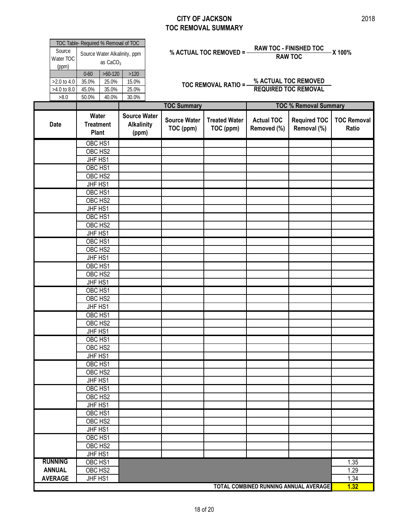Е

| Source<br>Water TOC                         | TOC Table- Required % Removal of TOC<br>Source Water Alkalinity, ppm<br>as CaCO <sub>3</sub> |                                      |                                                   | <b>RAW TOC - FINISHED TOC</b><br>% ACTUAL TOC REMOVED = -<br>-X 100%<br><b>RAW TOC</b> |                                   |                                  |                                                     |                             |  |
|---------------------------------------------|----------------------------------------------------------------------------------------------|--------------------------------------|---------------------------------------------------|----------------------------------------------------------------------------------------|-----------------------------------|----------------------------------|-----------------------------------------------------|-----------------------------|--|
| (ppm)<br>>2.0 to 4.0<br>>4.0 to 8.0<br>>8.0 | $0 - 60$<br>35.0%<br>45.0%<br>50.0%                                                          | $>60-120$<br>25.0%<br>35.0%<br>40.0% | $>120$<br>15.0%<br>25.0%<br>30.0%                 |                                                                                        | <b>TOC REMOVAL RATIO =-</b>       |                                  | % ACTUAL TOC REMOVED<br><b>REQUIRED TOC REMOVAL</b> |                             |  |
|                                             |                                                                                              |                                      |                                                   | <b>TOC Summary</b>                                                                     |                                   |                                  | <b>TOC % Removal Summary</b>                        |                             |  |
| <b>Date</b>                                 | Water<br><b>Treatment</b><br>Plant                                                           |                                      | <b>Source Water</b><br><b>Alkalinity</b><br>(ppm) | <b>Source Water</b><br>TOC (ppm)                                                       | <b>Treated Water</b><br>TOC (ppm) | <b>Actual TOC</b><br>Removed (%) | <b>Required TOC</b><br>Removal (%)                  | <b>TOC Removal</b><br>Ratio |  |
|                                             | OBC HS1                                                                                      |                                      |                                                   |                                                                                        |                                   |                                  |                                                     |                             |  |
|                                             | OBC HS2                                                                                      |                                      |                                                   |                                                                                        |                                   |                                  |                                                     |                             |  |
|                                             | JHF HS1                                                                                      |                                      |                                                   |                                                                                        |                                   |                                  |                                                     |                             |  |
|                                             | OBC HS1                                                                                      |                                      |                                                   |                                                                                        |                                   |                                  |                                                     |                             |  |
|                                             | OBC HS2                                                                                      |                                      |                                                   |                                                                                        |                                   |                                  |                                                     |                             |  |
|                                             | JHF HS1<br>OBC HS1                                                                           |                                      |                                                   |                                                                                        |                                   |                                  |                                                     |                             |  |
|                                             | OBC HS2                                                                                      |                                      |                                                   |                                                                                        |                                   |                                  |                                                     |                             |  |
|                                             | JHF HS1                                                                                      |                                      |                                                   |                                                                                        |                                   |                                  |                                                     |                             |  |
|                                             | OBC HS1                                                                                      |                                      |                                                   |                                                                                        |                                   |                                  |                                                     |                             |  |
|                                             | OBC HS2                                                                                      |                                      |                                                   |                                                                                        |                                   |                                  |                                                     |                             |  |
|                                             | JHF HS1                                                                                      |                                      |                                                   |                                                                                        |                                   |                                  |                                                     |                             |  |
|                                             | OBC HS1                                                                                      |                                      |                                                   |                                                                                        |                                   |                                  |                                                     |                             |  |
|                                             | OBC HS2                                                                                      |                                      |                                                   |                                                                                        |                                   |                                  |                                                     |                             |  |
|                                             | JHF HS1                                                                                      |                                      |                                                   |                                                                                        |                                   |                                  |                                                     |                             |  |
|                                             | OBC HS1                                                                                      |                                      |                                                   |                                                                                        |                                   |                                  |                                                     |                             |  |
|                                             | OBC HS2                                                                                      |                                      |                                                   |                                                                                        |                                   |                                  |                                                     |                             |  |
|                                             | JHF HS1<br>OBC HS1                                                                           |                                      |                                                   |                                                                                        |                                   |                                  |                                                     |                             |  |
|                                             | OBC HS2                                                                                      |                                      |                                                   |                                                                                        |                                   |                                  |                                                     |                             |  |
|                                             | JHF HS1                                                                                      |                                      |                                                   |                                                                                        |                                   |                                  |                                                     |                             |  |
|                                             | OBC HS1                                                                                      |                                      |                                                   |                                                                                        |                                   |                                  |                                                     |                             |  |
|                                             | OBC HS2                                                                                      |                                      |                                                   |                                                                                        |                                   |                                  |                                                     |                             |  |
|                                             | JHF HS1                                                                                      |                                      |                                                   |                                                                                        |                                   |                                  |                                                     |                             |  |
|                                             | OBC HS1                                                                                      |                                      |                                                   |                                                                                        |                                   |                                  |                                                     |                             |  |
|                                             | OBC HS2                                                                                      |                                      |                                                   |                                                                                        |                                   |                                  |                                                     |                             |  |
|                                             | JHF HS1                                                                                      |                                      |                                                   |                                                                                        |                                   |                                  |                                                     |                             |  |
|                                             | OBC HS1                                                                                      |                                      |                                                   |                                                                                        |                                   |                                  |                                                     |                             |  |
|                                             | OBC HS2                                                                                      |                                      |                                                   |                                                                                        |                                   |                                  |                                                     |                             |  |
|                                             | JHF HS1<br>OBC HS1                                                                           |                                      |                                                   |                                                                                        |                                   |                                  |                                                     |                             |  |
|                                             | OBC HS2                                                                                      |                                      |                                                   |                                                                                        |                                   |                                  |                                                     |                             |  |
|                                             | JHF HS1                                                                                      |                                      |                                                   |                                                                                        |                                   |                                  |                                                     |                             |  |
|                                             | OBC HS1                                                                                      |                                      |                                                   |                                                                                        |                                   |                                  |                                                     |                             |  |
|                                             | OBC HS2                                                                                      |                                      |                                                   |                                                                                        |                                   |                                  |                                                     |                             |  |
|                                             | JHF HS1                                                                                      |                                      |                                                   |                                                                                        |                                   |                                  |                                                     |                             |  |
|                                             | OBC HS1                                                                                      |                                      |                                                   |                                                                                        |                                   |                                  |                                                     |                             |  |
|                                             | OBC HS2                                                                                      |                                      |                                                   |                                                                                        |                                   |                                  |                                                     |                             |  |
|                                             | JHF HS1                                                                                      |                                      |                                                   |                                                                                        |                                   |                                  |                                                     |                             |  |
| <b>RUNNING</b>                              | OBC HS1                                                                                      |                                      |                                                   |                                                                                        |                                   |                                  |                                                     | 1.35                        |  |
| <b>ANNUAL</b>                               | OBC HS2                                                                                      |                                      |                                                   |                                                                                        |                                   |                                  |                                                     | 1.29                        |  |
| <b>AVERAGE</b>                              | JHF HS1                                                                                      |                                      |                                                   |                                                                                        |                                   |                                  | TOTAL COMBINED RUNNING ANNUAL AVERAGE               | 1.34<br>1.32                |  |
|                                             |                                                                                              |                                      |                                                   |                                                                                        |                                   |                                  |                                                     |                             |  |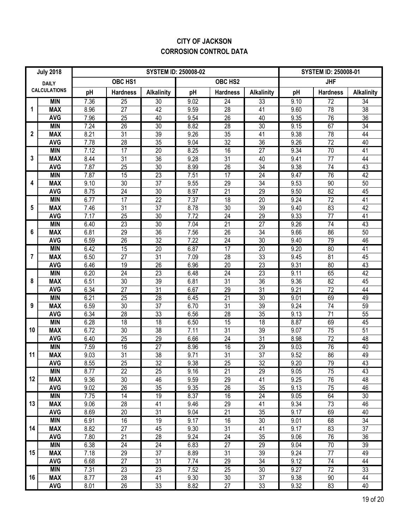# **CITY OF JACKSON CORROSION CONTROL DATA**

|              | <b>July 2018</b>         |              |                       | <b>SYSTEM ID: 250008-01</b> |              |                       |                       |                   |                 |                       |
|--------------|--------------------------|--------------|-----------------------|-----------------------------|--------------|-----------------------|-----------------------|-------------------|-----------------|-----------------------|
| <b>DAILY</b> |                          |              | OBC HS1               |                             |              | OBC HS2               | <b>JHF</b>            |                   |                 |                       |
|              | <b>CALCULATIONS</b>      | pH           | <b>Hardness</b>       | <b>Alkalinity</b>           | pH           | <b>Hardness</b>       | <b>Alkalinity</b>     | pH                | <b>Hardness</b> | <b>Alkalinity</b>     |
|              | <b>MIN</b>               | 7.36         | $\overline{25}$       | $\overline{30}$             | 9.02         | $\overline{24}$       | 33                    | 9.10              | 72              | $\overline{34}$       |
| 1            | <b>MAX</b>               | 8.96         | 27                    | 42                          | 9.59         | 28                    | 41                    | 9.60              | 78              | $\overline{38}$       |
|              | <b>AVG</b>               | 7.96         | 25                    | 40                          | 9.54         | $\overline{26}$       | 40                    | 9.35              | 76              | $\overline{36}$       |
|              | <b>MIN</b>               | 7.24         | 26                    | 30                          | 8.82         | $\overline{28}$       | 30                    | 9.15              | 67              | 34                    |
| $\mathbf{2}$ | <b>MAX</b>               | 8.21         | $\overline{31}$       | 39                          | 9.26         | 35                    | 41                    | 9.38              | 78              | 44                    |
|              | <b>AVG</b>               | 7.78         | 28                    | 35                          | 9.04         | 32                    | $\overline{36}$       | 9.26              | $\overline{72}$ | 40                    |
|              | <b>MIN</b>               | 7.12         | $\overline{17}$       | 20                          | 8.25         | 16                    | $\overline{27}$       | 9.34              | 70              | 41                    |
| 3            | <b>MAX</b>               | 8.44         | 31                    | 36                          | 9.28         | 31                    | 40                    | 9.41              | 77              | 44                    |
|              | <b>AVG</b>               | 7.87         | 25                    | $\overline{30}$             | 8.99         | 26                    | 34                    | 9.38              | 74              | 43                    |
|              | <b>MIN</b>               | 7.87         | 15                    | $\overline{23}$             | 7.51         | 17                    | $\overline{24}$       | 9.47              | 76              | 42                    |
| 4            | <b>MAX</b>               | 9.10         | 30                    | 37                          | 9.55         | 29                    | 34                    | 9.53              | 90              | 50                    |
|              | <b>AVG</b>               | 8.75         | 24                    | 30                          | 8.97         | 21                    | 29                    | 9.50              | 82              | 45                    |
|              | <b>MIN</b>               | 6.77         | $\overline{17}$       | $\overline{22}$             | 7.37         | $\overline{18}$       | $\overline{20}$       | 9.24              | $\overline{72}$ | 41                    |
| 5            | <b>MAX</b>               | 7.46         | 31                    | 37                          | 8.78         | 30                    | 39                    | 9.40              | 83              | 42                    |
|              | <b>AVG</b><br><b>MIN</b> | 7.17         | 25                    | 30<br>30                    | 7.72         | 24<br>21              | 29<br>$\overline{27}$ | 9.33              | 77<br>74        | 41<br>43              |
| 6            | <b>MAX</b>               | 6.40<br>6.81 | $\overline{23}$<br>29 | 36                          | 7.04<br>7.56 | 26                    | 34                    | 9.26<br>9.66      | 86              | 50                    |
|              | <b>AVG</b>               | 6.59         | 26                    | 32                          | 7.22         | 24                    | 30                    | 9.40              | 79              | 46                    |
|              | <b>MIN</b>               | 6.42         | 15                    | 20                          | 6.87         | $\overline{17}$       | $\overline{20}$       | 9.20              | $\overline{80}$ | $\overline{41}$       |
| 7            | <b>MAX</b>               | 6.50         | 27                    | 31                          | 7.09         | 28                    | 33                    | 9.45              | 81              | 45                    |
|              | <b>AVG</b>               | 6.46         | 19                    | 26                          | 6.96         | 20                    | $\overline{23}$       | 9.31              | 80              | 43                    |
|              | <b>MIN</b>               | 6.20         | $\overline{24}$       | 23                          | 6.48         | $\overline{24}$       | 23                    | 9.11              | 65              | 42                    |
| 8            | <b>MAX</b>               | 6.51         | 30                    | 39                          | 6.81         | 31                    | 36                    | 9.36              | $\overline{82}$ | 45                    |
|              | <b>AVG</b>               | 6.34         | 27                    | 31                          | 6.67         | 29                    | $\overline{31}$       | 9.21              | $\overline{72}$ | 44                    |
|              | <b>MIN</b>               | 6.21         | 25                    | 28                          | 6.45         | 21                    | 30                    | 9.01              | 69              | 49                    |
| 9            | <b>MAX</b>               | 6.59         | 30                    | $\overline{37}$             | 6.70         | 31                    | 39                    | 9.24              | 74              | 59                    |
|              | <b>AVG</b>               | 6.34         | 28                    | 33                          | 6.56         | 28                    | $\overline{35}$       | 9.13              | $\overline{71}$ | $\overline{55}$       |
|              | <b>MIN</b>               | 6.28         | $\overline{18}$       | 18                          | 6.50         | 15                    | $\overline{18}$       | 8.87              | 69              | 45                    |
| 10           | <b>MAX</b>               | 6.72         | $\overline{30}$       | $\overline{38}$             | 7.11         | $\overline{31}$       | $\overline{39}$       | 9.07              | 75              | $\overline{51}$       |
|              | <b>AVG</b>               | 6.40         | 25                    | 29                          | 6.66         | $\overline{24}$       | $\overline{31}$       | 8.98              | $\overline{72}$ | 48                    |
|              | <b>MIN</b>               | 7.59         | 16                    | $\overline{27}$             | 8.96         | 16                    | 29                    | 9.03              | 76              | 40                    |
| 11           | <b>MAX</b>               | 9.03         | $\overline{31}$       | $\overline{38}$             | 9.71         | 31                    | $\overline{37}$       | 9.52              | 86              | 49                    |
|              | <b>AVG</b>               | 8.55         | $\overline{25}$       | $\overline{32}$             | 9.38         | $\overline{25}$       | $\overline{32}$       | 9.20              | 79              | $\overline{43}$       |
|              | <b>MIN</b>               | 8.77         | 22                    | $\overline{25}$             | 9.16         | 21                    | 29                    | 9.05              | 75              | 43                    |
| 12           | <b>MAX</b>               | 9.36         | 30                    | 46                          | 9.59         | 29                    | 41                    | 9.25              | 76              | 48                    |
|              | <b>AVG</b>               | 9.02         | 26                    | 35                          | 9.35         | 26                    | 35                    | 9.13              | 75              | 46                    |
|              | <b>MIN</b>               | 7.75         | 14                    | 19                          | 8.37         | 16                    | $\overline{24}$       | $\overline{9.05}$ | 64              | 30                    |
| 13           | <b>MAX</b>               | 9.06         | 28                    | 41                          | 9.46         | 29                    | 41                    | 9.34              | 73              | 46                    |
|              | <b>AVG</b>               | 8.69         | 20                    | 31                          | 9.04         | 21                    | 35                    | 9.17              | 69              | 40                    |
|              | <b>MIN</b>               | 6.91         | 16                    | 19                          | 9.17         | 16                    | 30                    | 9.01              | 68              | $\overline{34}$       |
| 14           | <b>MAX</b>               | 8.82         | 27                    | 45                          | 9.30         | 31                    | 41                    | 9.17              | 83              | 37                    |
|              | <b>AVG</b><br><b>MIN</b> | 7.80<br>6.38 | 21<br>24              | 28<br>$\overline{24}$       | 9.24<br>6.83 | 24<br>$\overline{27}$ | 35<br>$\overline{29}$ | 9.06<br>9.04      | 76<br>70        | 36<br>$\overline{39}$ |
| 15           | <b>MAX</b>               | 7.18         | 29                    | 37                          | 8.89         | 31                    | 39                    | 9.24              | 77              | 49                    |
|              | <b>AVG</b>               | 6.68         | 27                    | 31                          | 7.74         | 29                    | 34                    | 9.12              | 74              | 44                    |
|              | <b>MIN</b>               | 7.31         | $\overline{23}$       | 23                          | 7.52         | $\overline{25}$       | 30                    | 9.27              | $\overline{72}$ | 33                    |
| 16           | <b>MAX</b>               | 8.77         | 28                    | 41                          | 9.30         | 30                    | 37                    | 9.38              | $90\,$          | 44                    |
|              | <b>AVG</b>               | 8.01         | 26                    | 33                          | 8.82         | 27                    | 33                    | 9.32              | 83              | 40                    |